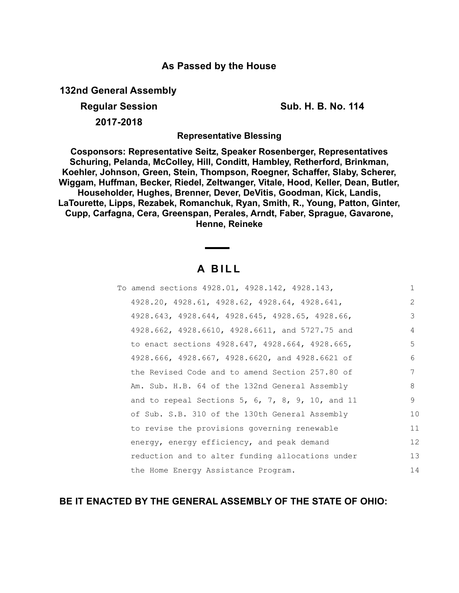## **As Passed by the House**

**132nd General Assembly**

**Regular Session Sub. H. B. No. 114**

**2017-2018**

**Representative Blessing**

**Cosponsors: Representative Seitz, Speaker Rosenberger, Representatives Schuring, Pelanda, McColley, Hill, Conditt, Hambley, Retherford, Brinkman, Koehler, Johnson, Green, Stein, Thompson, Roegner, Schaffer, Slaby, Scherer, Wiggam, Huffman, Becker, Riedel, Zeltwanger, Vitale, Hood, Keller, Dean, Butler, Householder, Hughes, Brenner, Dever, DeVitis, Goodman, Kick, Landis, LaTourette, Lipps, Rezabek, Romanchuk, Ryan, Smith, R., Young, Patton, Ginter, Cupp, Carfagna, Cera, Greenspan, Perales, Arndt, Faber, Sprague, Gavarone, Henne, Reineke**

# **A B I L L**

| To amend sections 4928.01, 4928.142, 4928.143,                  | $\mathbf{1}$ |
|-----------------------------------------------------------------|--------------|
| 4928.20, 4928.61, 4928.62, 4928.64, 4928.641,                   | 2            |
| 4928.643, 4928.644, 4928.645, 4928.65, 4928.66,                 | 3            |
| 4928.662, 4928.6610, 4928.6611, and 5727.75 and                 | 4            |
| to enact sections 4928.647, 4928.664, 4928.665,                 | 5            |
| 4928.666, 4928.667, 4928.6620, and 4928.6621 of                 | 6            |
| the Revised Code and to amend Section 257.80 of                 | 7            |
| Am. Sub. H.B. 64 of the 132nd General Assembly                  | 8            |
| and to repeal Sections 5, $6$ , $7$ , $8$ , $9$ , $10$ , and 11 | 9            |
| of Sub. S.B. 310 of the 130th General Assembly                  | 10           |
| to revise the provisions governing renewable                    | 11           |
| energy, energy efficiency, and peak demand                      | 12           |
| reduction and to alter funding allocations under                | 13           |
| the Home Energy Assistance Program.                             | 14           |

### **BE IT ENACTED BY THE GENERAL ASSEMBLY OF THE STATE OF OHIO:**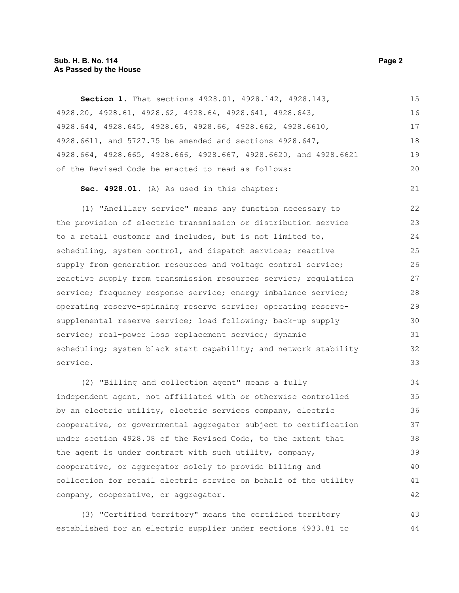#### **Sub. H. B. No. 114 Page 2 As Passed by the House**

**Section 1.** That sections 4928.01, 4928.142, 4928.143, 4928.20, 4928.61, 4928.62, 4928.64, 4928.641, 4928.643, 4928.644, 4928.645, 4928.65, 4928.66, 4928.662, 4928.6610, 4928.6611, and 5727.75 be amended and sections 4928.647, 4928.664, 4928.665, 4928.666, 4928.667, 4928.6620, and 4928.6621 of the Revised Code be enacted to read as follows: 15 16 17 18 19  $20$ 

```
Sec. 4928.01. (A) As used in this chapter:
```
(1) "Ancillary service" means any function necessary to the provision of electric transmission or distribution service to a retail customer and includes, but is not limited to, scheduling, system control, and dispatch services; reactive supply from generation resources and voltage control service; reactive supply from transmission resources service; regulation service; frequency response service; energy imbalance service; operating reserve-spinning reserve service; operating reservesupplemental reserve service; load following; back-up supply service; real-power loss replacement service; dynamic scheduling; system black start capability; and network stability service. 22 23 24 25 26 27 28 29 30 31 32 33

(2) "Billing and collection agent" means a fully independent agent, not affiliated with or otherwise controlled by an electric utility, electric services company, electric cooperative, or governmental aggregator subject to certification under section 4928.08 of the Revised Code, to the extent that the agent is under contract with such utility, company, cooperative, or aggregator solely to provide billing and collection for retail electric service on behalf of the utility company, cooperative, or aggregator. 34 35 36 37 38 39 40 41 42

(3) "Certified territory" means the certified territory established for an electric supplier under sections 4933.81 to 43 44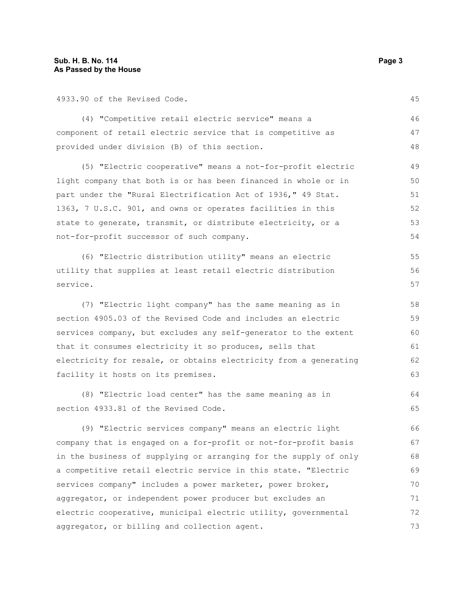4933.90 of the Revised Code.

(4) "Competitive retail electric service" means a component of retail electric service that is competitive as provided under division (B) of this section. 46 47 48

(5) "Electric cooperative" means a not-for-profit electric light company that both is or has been financed in whole or in part under the "Rural Electrification Act of 1936," 49 Stat. 1363, 7 U.S.C. 901, and owns or operates facilities in this state to generate, transmit, or distribute electricity, or a not-for-profit successor of such company. 49 50 51 52 53 54

(6) "Electric distribution utility" means an electric utility that supplies at least retail electric distribution service.

(7) "Electric light company" has the same meaning as in section 4905.03 of the Revised Code and includes an electric services company, but excludes any self-generator to the extent that it consumes electricity it so produces, sells that electricity for resale, or obtains electricity from a generating facility it hosts on its premises.

(8) "Electric load center" has the same meaning as in section 4933.81 of the Revised Code. 64 65

(9) "Electric services company" means an electric light company that is engaged on a for-profit or not-for-profit basis in the business of supplying or arranging for the supply of only a competitive retail electric service in this state. "Electric services company" includes a power marketer, power broker, aggregator, or independent power producer but excludes an electric cooperative, municipal electric utility, governmental aggregator, or billing and collection agent. 66 67 68 69 70 71 72 73

45

63

55 56 57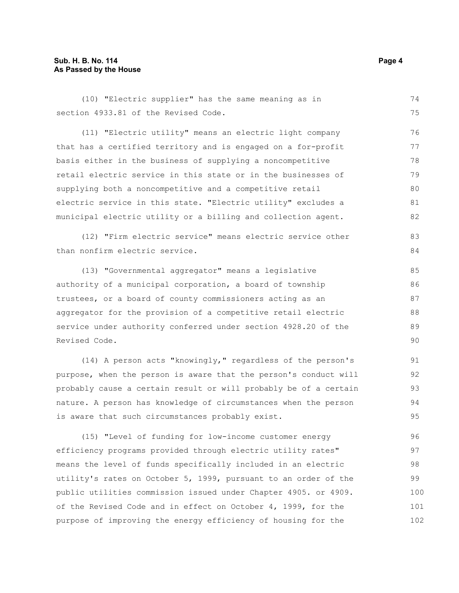#### **Sub. H. B. No. 114 Page 4 As Passed by the House**

(10) "Electric supplier" has the same meaning as in section 4933.81 of the Revised Code. 74 75

(11) "Electric utility" means an electric light company that has a certified territory and is engaged on a for-profit basis either in the business of supplying a noncompetitive retail electric service in this state or in the businesses of supplying both a noncompetitive and a competitive retail electric service in this state. "Electric utility" excludes a municipal electric utility or a billing and collection agent. 76 77 78 79 80 81 82

(12) "Firm electric service" means electric service other than nonfirm electric service. 83 84

(13) "Governmental aggregator" means a legislative authority of a municipal corporation, a board of township trustees, or a board of county commissioners acting as an aggregator for the provision of a competitive retail electric service under authority conferred under section 4928.20 of the Revised Code.

(14) A person acts "knowingly," regardless of the person's purpose, when the person is aware that the person's conduct will probably cause a certain result or will probably be of a certain nature. A person has knowledge of circumstances when the person is aware that such circumstances probably exist. 91 92 93 94 95

(15) "Level of funding for low-income customer energy efficiency programs provided through electric utility rates" means the level of funds specifically included in an electric utility's rates on October 5, 1999, pursuant to an order of the public utilities commission issued under Chapter 4905. or 4909. of the Revised Code and in effect on October 4, 1999, for the purpose of improving the energy efficiency of housing for the 96 97 98 99 100 101 102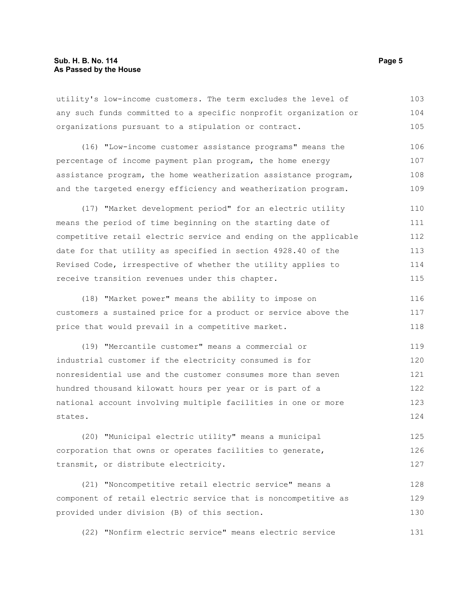#### **Sub. H. B. No. 114 Page 5 As Passed by the House**

utility's low-income customers. The term excludes the level of any such funds committed to a specific nonprofit organization or organizations pursuant to a stipulation or contract. 103 104 105

(16) "Low-income customer assistance programs" means the percentage of income payment plan program, the home energy assistance program, the home weatherization assistance program, and the targeted energy efficiency and weatherization program. 106 107 108 109

(17) "Market development period" for an electric utility means the period of time beginning on the starting date of competitive retail electric service and ending on the applicable date for that utility as specified in section 4928.40 of the Revised Code, irrespective of whether the utility applies to receive transition revenues under this chapter. 110 111 112 113 114 115

(18) "Market power" means the ability to impose on customers a sustained price for a product or service above the price that would prevail in a competitive market. 116 117 118

(19) "Mercantile customer" means a commercial or industrial customer if the electricity consumed is for nonresidential use and the customer consumes more than seven hundred thousand kilowatt hours per year or is part of a national account involving multiple facilities in one or more states. 119 120 121 122 123 124

(20) "Municipal electric utility" means a municipal corporation that owns or operates facilities to generate, transmit, or distribute electricity. 125 126 127

(21) "Noncompetitive retail electric service" means a component of retail electric service that is noncompetitive as provided under division (B) of this section. 128 129 130

(22) "Nonfirm electric service" means electric service 131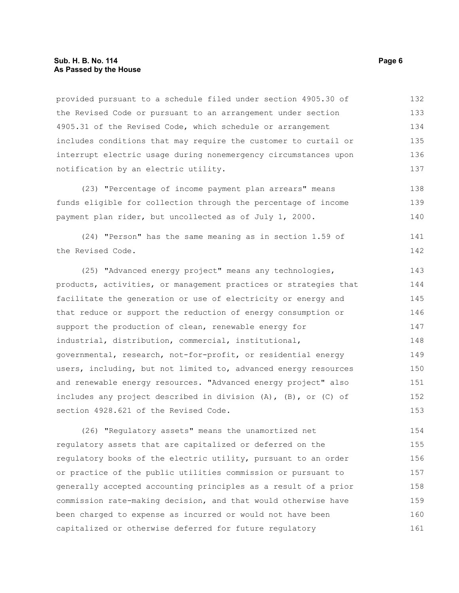#### **Sub. H. B. No. 114 Page 6 As Passed by the House**

provided pursuant to a schedule filed under section 4905.30 of the Revised Code or pursuant to an arrangement under section 4905.31 of the Revised Code, which schedule or arrangement includes conditions that may require the customer to curtail or interrupt electric usage during nonemergency circumstances upon notification by an electric utility. 132 133 134 135 136 137

(23) "Percentage of income payment plan arrears" means funds eligible for collection through the percentage of income payment plan rider, but uncollected as of July 1, 2000. 138 139 140

(24) "Person" has the same meaning as in section 1.59 of the Revised Code. 141 142

(25) "Advanced energy project" means any technologies, products, activities, or management practices or strategies that facilitate the generation or use of electricity or energy and that reduce or support the reduction of energy consumption or support the production of clean, renewable energy for industrial, distribution, commercial, institutional, governmental, research, not-for-profit, or residential energy users, including, but not limited to, advanced energy resources and renewable energy resources. "Advanced energy project" also includes any project described in division (A), (B), or (C) of section 4928.621 of the Revised Code. 143 144 145 146 147 148 149 150 151 152 153

(26) "Regulatory assets" means the unamortized net regulatory assets that are capitalized or deferred on the regulatory books of the electric utility, pursuant to an order or practice of the public utilities commission or pursuant to generally accepted accounting principles as a result of a prior commission rate-making decision, and that would otherwise have been charged to expense as incurred or would not have been capitalized or otherwise deferred for future regulatory 154 155 156 157 158 159 160 161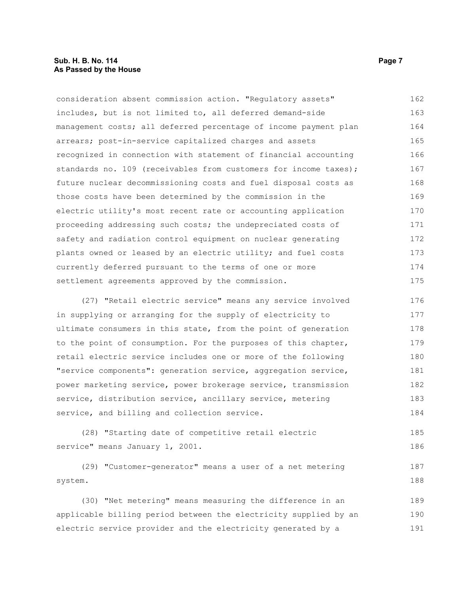#### **Sub. H. B. No. 114 Page 7 As Passed by the House**

consideration absent commission action. "Regulatory assets" includes, but is not limited to, all deferred demand-side management costs; all deferred percentage of income payment plan arrears; post-in-service capitalized charges and assets recognized in connection with statement of financial accounting standards no. 109 (receivables from customers for income taxes); future nuclear decommissioning costs and fuel disposal costs as those costs have been determined by the commission in the electric utility's most recent rate or accounting application proceeding addressing such costs; the undepreciated costs of safety and radiation control equipment on nuclear generating plants owned or leased by an electric utility; and fuel costs currently deferred pursuant to the terms of one or more settlement agreements approved by the commission. 162 163 164 165 166 167 168 169 170 171 172 173 174 175

(27) "Retail electric service" means any service involved in supplying or arranging for the supply of electricity to ultimate consumers in this state, from the point of generation to the point of consumption. For the purposes of this chapter, retail electric service includes one or more of the following "service components": generation service, aggregation service, power marketing service, power brokerage service, transmission service, distribution service, ancillary service, metering service, and billing and collection service. 176 177 178 179 180 181 182 183 184

(28) "Starting date of competitive retail electric service" means January 1, 2001.

(29) "Customer-generator" means a user of a net metering system. 187 188

(30) "Net metering" means measuring the difference in an applicable billing period between the electricity supplied by an electric service provider and the electricity generated by a 189 190 191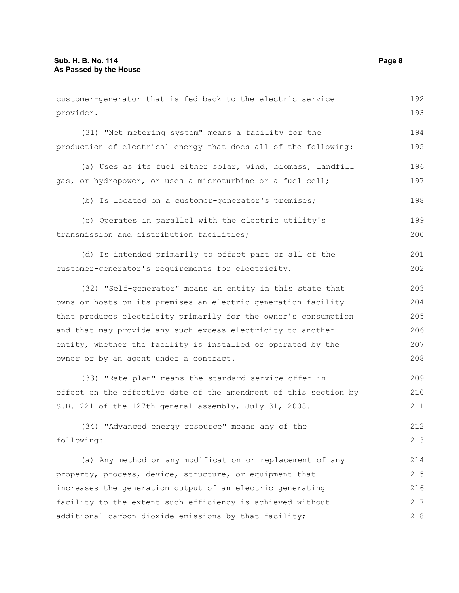customer-generator that is fed back to the electric service provider. (31) "Net metering system" means a facility for the production of electrical energy that does all of the following: (a) Uses as its fuel either solar, wind, biomass, landfill gas, or hydropower, or uses a microturbine or a fuel cell; (b) Is located on a customer-generator's premises; (c) Operates in parallel with the electric utility's transmission and distribution facilities; (d) Is intended primarily to offset part or all of the customer-generator's requirements for electricity. (32) "Self-generator" means an entity in this state that owns or hosts on its premises an electric generation facility that produces electricity primarily for the owner's consumption and that may provide any such excess electricity to another entity, whether the facility is installed or operated by the owner or by an agent under a contract. (33) "Rate plan" means the standard service offer in effect on the effective date of the amendment of this section by S.B. 221 of the 127th general assembly, July 31, 2008. (34) "Advanced energy resource" means any of the following: (a) Any method or any modification or replacement of any property, process, device, structure, or equipment that increases the generation output of an electric generating facility to the extent such efficiency is achieved without additional carbon dioxide emissions by that facility; 192 193 194 195 196 197 198 199 200 201 202 203 204 205 206 207 208 209 210 211 212 213 214 215 216 217 218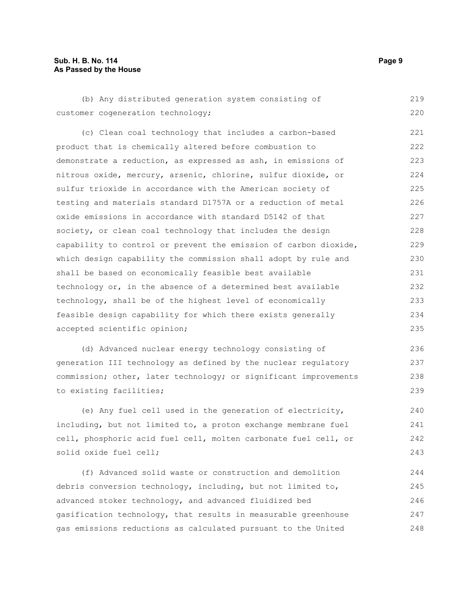#### **Sub. H. B. No. 114 Page 9 As Passed by the House**

(b) Any distributed generation system consisting of customer cogeneration technology; 219 220

(c) Clean coal technology that includes a carbon-based product that is chemically altered before combustion to demonstrate a reduction, as expressed as ash, in emissions of nitrous oxide, mercury, arsenic, chlorine, sulfur dioxide, or sulfur trioxide in accordance with the American society of testing and materials standard D1757A or a reduction of metal oxide emissions in accordance with standard D5142 of that society, or clean coal technology that includes the design capability to control or prevent the emission of carbon dioxide, which design capability the commission shall adopt by rule and shall be based on economically feasible best available technology or, in the absence of a determined best available technology, shall be of the highest level of economically feasible design capability for which there exists generally accepted scientific opinion; 221 222 223 224 225 226 227 228 229 230 231 232 233 234 235

(d) Advanced nuclear energy technology consisting of generation III technology as defined by the nuclear regulatory commission; other, later technology; or significant improvements to existing facilities;

(e) Any fuel cell used in the generation of electricity, including, but not limited to, a proton exchange membrane fuel cell, phosphoric acid fuel cell, molten carbonate fuel cell, or solid oxide fuel cell; 240 241 242 243

(f) Advanced solid waste or construction and demolition debris conversion technology, including, but not limited to, advanced stoker technology, and advanced fluidized bed gasification technology, that results in measurable greenhouse gas emissions reductions as calculated pursuant to the United 244 245 246 247 248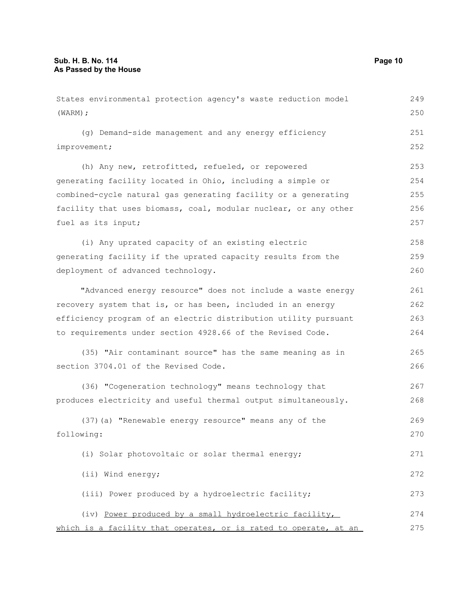States environmental protection agency's waste reduction model (WARM); (g) Demand-side management and any energy efficiency improvement; (h) Any new, retrofitted, refueled, or repowered generating facility located in Ohio, including a simple or combined-cycle natural gas generating facility or a generating facility that uses biomass, coal, modular nuclear, or any other fuel as its input; (i) Any uprated capacity of an existing electric generating facility if the uprated capacity results from the deployment of advanced technology. "Advanced energy resource" does not include a waste energy recovery system that is, or has been, included in an energy efficiency program of an electric distribution utility pursuant to requirements under section 4928.66 of the Revised Code. (35) "Air contaminant source" has the same meaning as in section 3704.01 of the Revised Code. (36) "Cogeneration technology" means technology that produces electricity and useful thermal output simultaneously. (37)(a) "Renewable energy resource" means any of the following: (i) Solar photovoltaic or solar thermal energy; (ii) Wind energy; (iii) Power produced by a hydroelectric facility; (iv) Power produced by a small hydroelectric facility, 249 250 251 252 253 254 255 256 257 258 259 260 261 262 263 264 265 266 267 268 269 270 271 272 273 274

which is a facility that operates, or is rated to operate, at an 275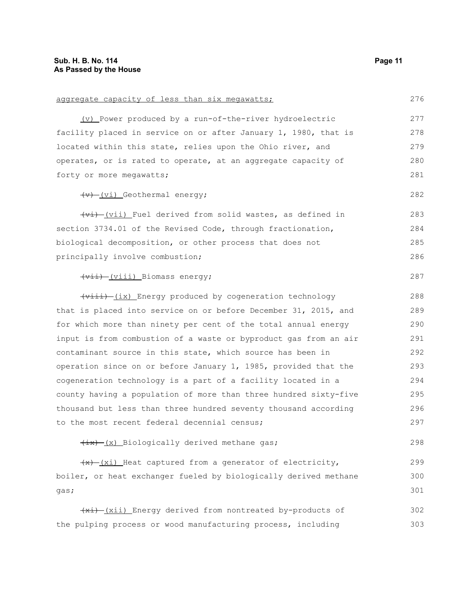| aggregate capacity of less than six megawatts;                              | 276 |  |  |  |  |
|-----------------------------------------------------------------------------|-----|--|--|--|--|
| (v) Power produced by a run-of-the-river hydroelectric                      | 277 |  |  |  |  |
| facility placed in service on or after January 1, 1980, that is             | 278 |  |  |  |  |
| located within this state, relies upon the Ohio river, and                  | 279 |  |  |  |  |
| operates, or is rated to operate, at an aggregate capacity of               |     |  |  |  |  |
| forty or more megawatts;                                                    | 281 |  |  |  |  |
| $\overline{(v)}$ (vi) Geothermal energy;                                    | 282 |  |  |  |  |
| (vi) (vii) Fuel derived from solid wastes, as defined in                    | 283 |  |  |  |  |
| section 3734.01 of the Revised Code, through fractionation,                 | 284 |  |  |  |  |
| biological decomposition, or other process that does not                    | 285 |  |  |  |  |
| principally involve combustion;                                             | 286 |  |  |  |  |
| (vii) Biomass energy;                                                       | 287 |  |  |  |  |
| (viii) (ix) Energy produced by cogeneration technology                      | 288 |  |  |  |  |
| that is placed into service on or before December 31, 2015, and             | 289 |  |  |  |  |
| for which more than ninety per cent of the total annual energy              | 290 |  |  |  |  |
| input is from combustion of a waste or byproduct gas from an air            | 291 |  |  |  |  |
| contaminant source in this state, which source has been in                  | 292 |  |  |  |  |
| operation since on or before January 1, 1985, provided that the             | 293 |  |  |  |  |
| cogeneration technology is a part of a facility located in a                | 294 |  |  |  |  |
| county having a population of more than three hundred sixty-five            | 295 |  |  |  |  |
| thousand but less than three hundred seventy thousand according             | 296 |  |  |  |  |
| to the most recent federal decennial census;                                | 297 |  |  |  |  |
| $\frac{1}{1}$ $\frac{1}{x}$ $\frac{1}{x}$ Biologically derived methane gas; | 298 |  |  |  |  |
| $\frac{f(x)-f(x_i)}{f(x_i)}$ Heat captured from a generator of electricity, | 299 |  |  |  |  |
| boiler, or heat exchanger fueled by biologically derived methane            |     |  |  |  |  |
| gas;                                                                        | 301 |  |  |  |  |
| (xi) [xii) Energy derived from nontreated by-products of                    | 302 |  |  |  |  |
| the pulping process or wood manufacturing process, including                | 303 |  |  |  |  |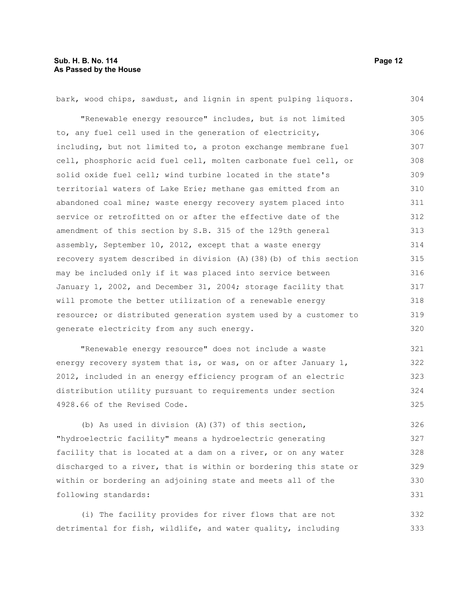bark, wood chips, sawdust, and lignin in spent pulping liquors. "Renewable energy resource" includes, but is not limited to, any fuel cell used in the generation of electricity, including, but not limited to, a proton exchange membrane fuel cell, phosphoric acid fuel cell, molten carbonate fuel cell, or solid oxide fuel cell; wind turbine located in the state's territorial waters of Lake Erie; methane gas emitted from an abandoned coal mine; waste energy recovery system placed into service or retrofitted on or after the effective date of the amendment of this section by S.B. 315 of the 129th general assembly, September 10, 2012, except that a waste energy recovery system described in division (A)(38)(b) of this section may be included only if it was placed into service between January 1, 2002, and December 31, 2004; storage facility that will promote the better utilization of a renewable energy resource; or distributed generation system used by a customer to generate electricity from any such energy. 304 305 306 307 308 309 310 311 312 313 314 315 316 317 318 319 320

"Renewable energy resource" does not include a waste energy recovery system that is, or was, on or after January 1, 2012, included in an energy efficiency program of an electric distribution utility pursuant to requirements under section 4928.66 of the Revised Code. 321 322 323 324 325

(b) As used in division (A)(37) of this section, "hydroelectric facility" means a hydroelectric generating facility that is located at a dam on a river, or on any water discharged to a river, that is within or bordering this state or within or bordering an adjoining state and meets all of the following standards: 326 327 328 329 330 331

(i) The facility provides for river flows that are not detrimental for fish, wildlife, and water quality, including 332 333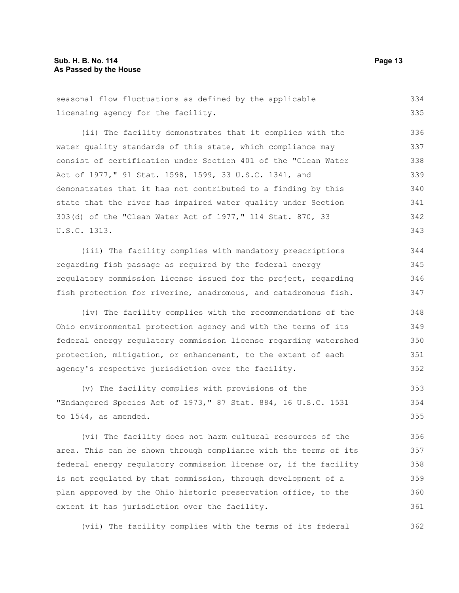seasonal flow fluctuations as defined by the applicable licensing agency for the facility. 334 335

(ii) The facility demonstrates that it complies with the water quality standards of this state, which compliance may consist of certification under Section 401 of the "Clean Water Act of 1977," 91 Stat. 1598, 1599, 33 U.S.C. 1341, and demonstrates that it has not contributed to a finding by this state that the river has impaired water quality under Section 303(d) of the "Clean Water Act of 1977," 114 Stat. 870, 33 U.S.C. 1313. 336 337 338 339 340 341 342 343

(iii) The facility complies with mandatory prescriptions regarding fish passage as required by the federal energy regulatory commission license issued for the project, regarding fish protection for riverine, anadromous, and catadromous fish. 344 345 346 347

(iv) The facility complies with the recommendations of the Ohio environmental protection agency and with the terms of its federal energy regulatory commission license regarding watershed protection, mitigation, or enhancement, to the extent of each agency's respective jurisdiction over the facility. 348 349 350 351 352

(v) The facility complies with provisions of the "Endangered Species Act of 1973," 87 Stat. 884, 16 U.S.C. 1531 to 1544, as amended. 353 354 355

(vi) The facility does not harm cultural resources of the area. This can be shown through compliance with the terms of its federal energy regulatory commission license or, if the facility is not regulated by that commission, through development of a plan approved by the Ohio historic preservation office, to the extent it has jurisdiction over the facility. 356 357 358 359 360 361

(vii) The facility complies with the terms of its federal 362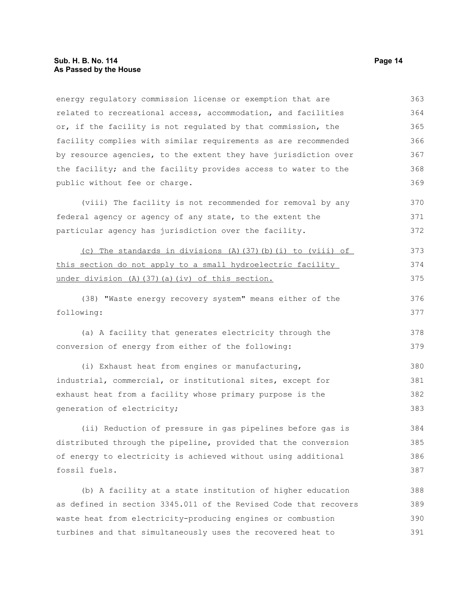energy regulatory commission license or exemption that are related to recreational access, accommodation, and facilities or, if the facility is not regulated by that commission, the facility complies with similar requirements as are recommended by resource agencies, to the extent they have jurisdiction over the facility; and the facility provides access to water to the public without fee or charge. 363 364 365 366 367 368 369

(viii) The facility is not recommended for removal by any federal agency or agency of any state, to the extent the particular agency has jurisdiction over the facility. 370 371 372

(c) The standards in divisions (A)(37)(b)(i) to (viii) of this section do not apply to a small hydroelectric facility under division (A)(37)(a)(iv) of this section. 373 374 375

(38) "Waste energy recovery system" means either of the following: 376 377

(a) A facility that generates electricity through the conversion of energy from either of the following: 378 379

(i) Exhaust heat from engines or manufacturing, industrial, commercial, or institutional sites, except for exhaust heat from a facility whose primary purpose is the generation of electricity; 380 381 382 383

(ii) Reduction of pressure in gas pipelines before gas is distributed through the pipeline, provided that the conversion of energy to electricity is achieved without using additional fossil fuels. 384 385 386 387

(b) A facility at a state institution of higher education as defined in section 3345.011 of the Revised Code that recovers waste heat from electricity-producing engines or combustion turbines and that simultaneously uses the recovered heat to 388 389 390 391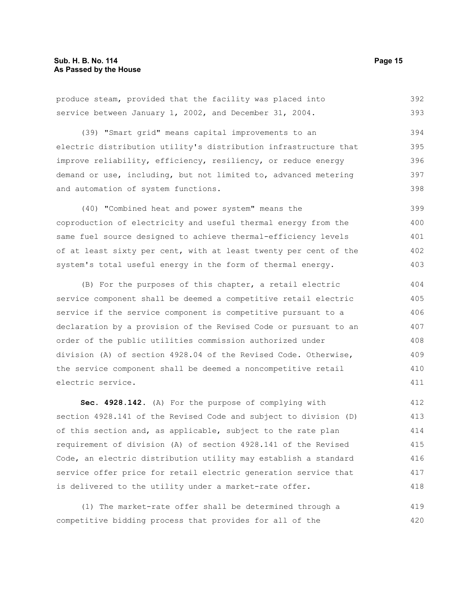produce steam, provided that the facility was placed into service between January 1, 2002, and December 31, 2004. 392 393

(39) "Smart grid" means capital improvements to an electric distribution utility's distribution infrastructure that improve reliability, efficiency, resiliency, or reduce energy demand or use, including, but not limited to, advanced metering and automation of system functions. 394 395 396 397 398

(40) "Combined heat and power system" means the coproduction of electricity and useful thermal energy from the same fuel source designed to achieve thermal-efficiency levels of at least sixty per cent, with at least twenty per cent of the system's total useful energy in the form of thermal energy. 399 400 401 402 403

(B) For the purposes of this chapter, a retail electric service component shall be deemed a competitive retail electric service if the service component is competitive pursuant to a declaration by a provision of the Revised Code or pursuant to an order of the public utilities commission authorized under division (A) of section 4928.04 of the Revised Code. Otherwise, the service component shall be deemed a noncompetitive retail electric service. 404 405 406 407 408 409 410 411

**Sec. 4928.142.** (A) For the purpose of complying with section 4928.141 of the Revised Code and subject to division (D) of this section and, as applicable, subject to the rate plan requirement of division (A) of section 4928.141 of the Revised Code, an electric distribution utility may establish a standard service offer price for retail electric generation service that is delivered to the utility under a market-rate offer. 412 413 414 415 416 417 418

(1) The market-rate offer shall be determined through a competitive bidding process that provides for all of the 419 420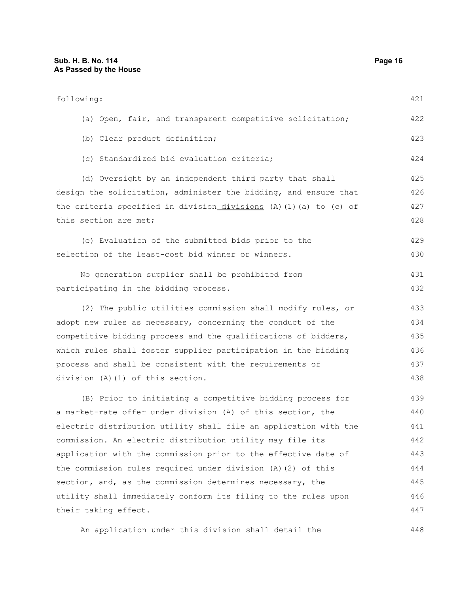448

| following:                                                         | 421 |  |  |  |  |
|--------------------------------------------------------------------|-----|--|--|--|--|
| (a) Open, fair, and transparent competitive solicitation;          | 422 |  |  |  |  |
| (b) Clear product definition;                                      | 423 |  |  |  |  |
| (c) Standardized bid evaluation criteria;                          | 424 |  |  |  |  |
| (d) Oversight by an independent third party that shall             | 425 |  |  |  |  |
| design the solicitation, administer the bidding, and ensure that   | 426 |  |  |  |  |
| the criteria specified in-division divisions (A) (1) (a) to (c) of |     |  |  |  |  |
| this section are met;                                              | 428 |  |  |  |  |
| (e) Evaluation of the submitted bids prior to the                  | 429 |  |  |  |  |
| selection of the least-cost bid winner or winners.                 | 430 |  |  |  |  |
| No generation supplier shall be prohibited from                    | 431 |  |  |  |  |
| participating in the bidding process.                              | 432 |  |  |  |  |
| (2) The public utilities commission shall modify rules, or         | 433 |  |  |  |  |
| adopt new rules as necessary, concerning the conduct of the        | 434 |  |  |  |  |
| competitive bidding process and the qualifications of bidders,     | 435 |  |  |  |  |
| which rules shall foster supplier participation in the bidding     | 436 |  |  |  |  |
| process and shall be consistent with the requirements of           |     |  |  |  |  |
| division (A) (1) of this section.                                  | 438 |  |  |  |  |
| (B) Prior to initiating a competitive bidding process for          | 439 |  |  |  |  |
| a market-rate offer under division (A) of this section, the        | 440 |  |  |  |  |
| electric distribution utility shall file an application with the   | 441 |  |  |  |  |
| commission. An electric distribution utility may file its          | 442 |  |  |  |  |
| application with the commission prior to the effective date of     | 443 |  |  |  |  |
| the commission rules required under division (A) (2) of this       | 444 |  |  |  |  |
| section, and, as the commission determines necessary, the          | 445 |  |  |  |  |
| utility shall immediately conform its filing to the rules upon     |     |  |  |  |  |
| their taking effect.                                               | 447 |  |  |  |  |

An application under this division shall detail the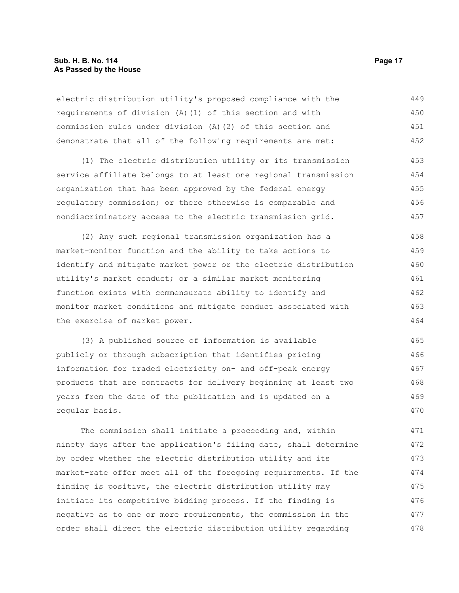#### **Sub. H. B. No. 114 Page 17 As Passed by the House**

electric distribution utility's proposed compliance with the requirements of division (A)(1) of this section and with commission rules under division (A)(2) of this section and demonstrate that all of the following requirements are met: 449 450 451 452

(1) The electric distribution utility or its transmission service affiliate belongs to at least one regional transmission organization that has been approved by the federal energy regulatory commission; or there otherwise is comparable and nondiscriminatory access to the electric transmission grid. 453 454 455 456 457

(2) Any such regional transmission organization has a market-monitor function and the ability to take actions to identify and mitigate market power or the electric distribution utility's market conduct; or a similar market monitoring function exists with commensurate ability to identify and monitor market conditions and mitigate conduct associated with the exercise of market power. 458 459 460 461 462 463 464

(3) A published source of information is available publicly or through subscription that identifies pricing information for traded electricity on- and off-peak energy products that are contracts for delivery beginning at least two years from the date of the publication and is updated on a regular basis. 465 466 467 468 469 470

The commission shall initiate a proceeding and, within ninety days after the application's filing date, shall determine by order whether the electric distribution utility and its market-rate offer meet all of the foregoing requirements. If the finding is positive, the electric distribution utility may initiate its competitive bidding process. If the finding is negative as to one or more requirements, the commission in the order shall direct the electric distribution utility regarding 471 472 473 474 475 476 477 478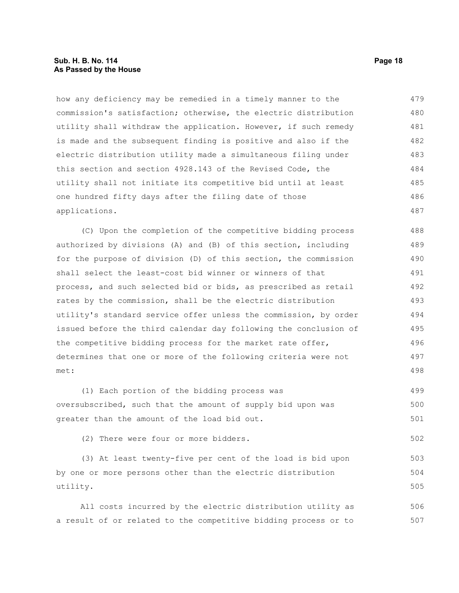#### **Sub. H. B. No. 114 Page 18 As Passed by the House**

how any deficiency may be remedied in a timely manner to the commission's satisfaction; otherwise, the electric distribution utility shall withdraw the application. However, if such remedy is made and the subsequent finding is positive and also if the electric distribution utility made a simultaneous filing under this section and section 4928.143 of the Revised Code, the utility shall not initiate its competitive bid until at least one hundred fifty days after the filing date of those applications. 479 480 481 482 483 484 485 486 487

(C) Upon the completion of the competitive bidding process authorized by divisions (A) and (B) of this section, including for the purpose of division (D) of this section, the commission shall select the least-cost bid winner or winners of that process, and such selected bid or bids, as prescribed as retail rates by the commission, shall be the electric distribution utility's standard service offer unless the commission, by order issued before the third calendar day following the conclusion of the competitive bidding process for the market rate offer, determines that one or more of the following criteria were not met: 488 489 490 491 492 493 494 495 496 497 498

(1) Each portion of the bidding process was oversubscribed, such that the amount of supply bid upon was greater than the amount of the load bid out. 499 500 501

(2) There were four or more bidders.

(3) At least twenty-five per cent of the load is bid upon by one or more persons other than the electric distribution utility. 503 504 505

All costs incurred by the electric distribution utility as a result of or related to the competitive bidding process or to 506 507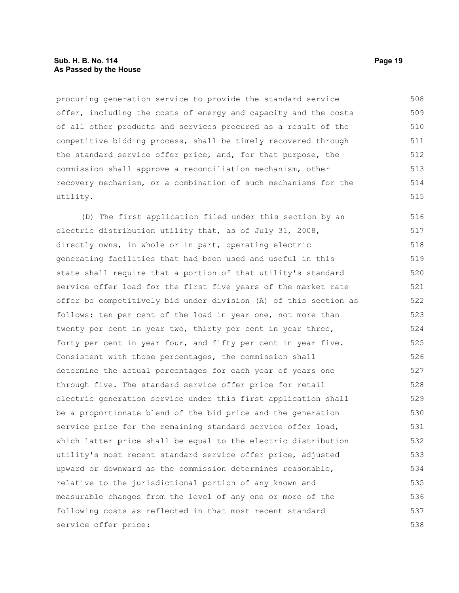#### **Sub. H. B. No. 114 Page 19 As Passed by the House**

procuring generation service to provide the standard service offer, including the costs of energy and capacity and the costs of all other products and services procured as a result of the competitive bidding process, shall be timely recovered through the standard service offer price, and, for that purpose, the commission shall approve a reconciliation mechanism, other recovery mechanism, or a combination of such mechanisms for the utility. 508 509 510 511 512 513 514 515

(D) The first application filed under this section by an electric distribution utility that, as of July 31, 2008, directly owns, in whole or in part, operating electric generating facilities that had been used and useful in this state shall require that a portion of that utility's standard service offer load for the first five years of the market rate offer be competitively bid under division (A) of this section as follows: ten per cent of the load in year one, not more than twenty per cent in year two, thirty per cent in year three, forty per cent in year four, and fifty per cent in year five. Consistent with those percentages, the commission shall determine the actual percentages for each year of years one through five. The standard service offer price for retail electric generation service under this first application shall be a proportionate blend of the bid price and the generation service price for the remaining standard service offer load, which latter price shall be equal to the electric distribution utility's most recent standard service offer price, adjusted upward or downward as the commission determines reasonable, relative to the jurisdictional portion of any known and measurable changes from the level of any one or more of the following costs as reflected in that most recent standard service offer price: 516 517 518 519 520 521 522 523 524 525 526 527 528 529 530 531 532 533 534 535 536 537 538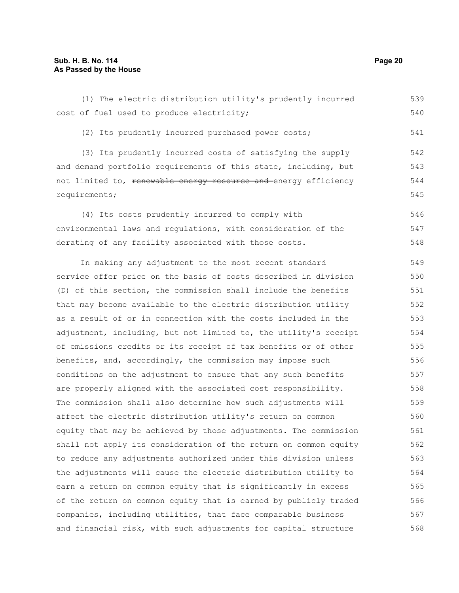(1) The electric distribution utility's prudently incurred cost of fuel used to produce electricity; (2) Its prudently incurred purchased power costs; (3) Its prudently incurred costs of satisfying the supply and demand portfolio requirements of this state, including, but not limited to, renewable energy resource and energy efficiency requirements; (4) Its costs prudently incurred to comply with environmental laws and regulations, with consideration of the derating of any facility associated with those costs. In making any adjustment to the most recent standard service offer price on the basis of costs described in division (D) of this section, the commission shall include the benefits that may become available to the electric distribution utility as a result of or in connection with the costs included in the adjustment, including, but not limited to, the utility's receipt of emissions credits or its receipt of tax benefits or of other benefits, and, accordingly, the commission may impose such conditions on the adjustment to ensure that any such benefits are properly aligned with the associated cost responsibility. The commission shall also determine how such adjustments will affect the electric distribution utility's return on common equity that may be achieved by those adjustments. The commission shall not apply its consideration of the return on common equity to reduce any adjustments authorized under this division unless the adjustments will cause the electric distribution utility to earn a return on common equity that is significantly in excess of the return on common equity that is earned by publicly traded companies, including utilities, that face comparable business and financial risk, with such adjustments for capital structure 539 540 541 542 543 544 545 546 547 548 549 550 551 552 553 554 555 556 557 558 559 560 561 562 563 564 565 566 567 568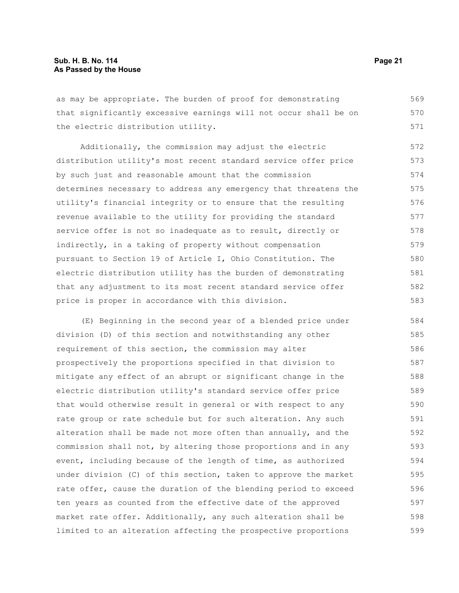#### **Sub. H. B. No. 114 Page 21 As Passed by the House**

as may be appropriate. The burden of proof for demonstrating that significantly excessive earnings will not occur shall be on the electric distribution utility. 569 570 571

Additionally, the commission may adjust the electric distribution utility's most recent standard service offer price by such just and reasonable amount that the commission determines necessary to address any emergency that threatens the utility's financial integrity or to ensure that the resulting revenue available to the utility for providing the standard service offer is not so inadequate as to result, directly or indirectly, in a taking of property without compensation pursuant to Section 19 of Article I, Ohio Constitution. The electric distribution utility has the burden of demonstrating that any adjustment to its most recent standard service offer price is proper in accordance with this division. 572 573 574 575 576 577 578 579 580 581 582 583

(E) Beginning in the second year of a blended price under division (D) of this section and notwithstanding any other requirement of this section, the commission may alter prospectively the proportions specified in that division to mitigate any effect of an abrupt or significant change in the electric distribution utility's standard service offer price that would otherwise result in general or with respect to any rate group or rate schedule but for such alteration. Any such alteration shall be made not more often than annually, and the commission shall not, by altering those proportions and in any event, including because of the length of time, as authorized under division (C) of this section, taken to approve the market rate offer, cause the duration of the blending period to exceed ten years as counted from the effective date of the approved market rate offer. Additionally, any such alteration shall be limited to an alteration affecting the prospective proportions 584 585 586 587 588 589 590 591 592 593 594 595 596 597 598 599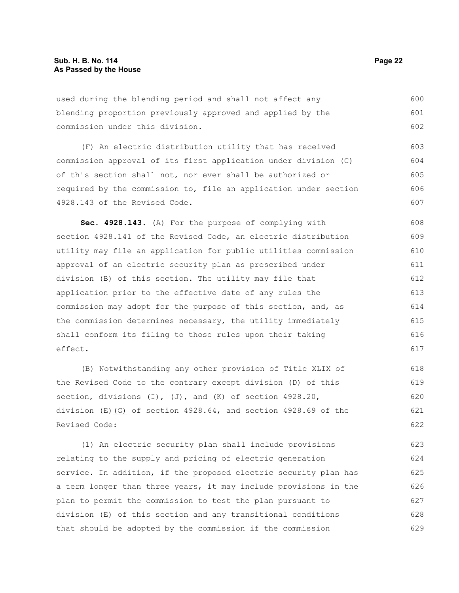used during the blending period and shall not affect any blending proportion previously approved and applied by the commission under this division. 600 601 602

(F) An electric distribution utility that has received commission approval of its first application under division (C) of this section shall not, nor ever shall be authorized or required by the commission to, file an application under section 4928.143 of the Revised Code.

**Sec. 4928.143.** (A) For the purpose of complying with section 4928.141 of the Revised Code, an electric distribution utility may file an application for public utilities commission approval of an electric security plan as prescribed under division (B) of this section. The utility may file that application prior to the effective date of any rules the commission may adopt for the purpose of this section, and, as the commission determines necessary, the utility immediately shall conform its filing to those rules upon their taking effect. 608 609 610 611 612 613 614 615 616 617

(B) Notwithstanding any other provision of Title XLIX of the Revised Code to the contrary except division (D) of this section, divisions  $(I)$ ,  $(J)$ , and  $(K)$  of section 4928.20, division  $(E)$  (G) of section 4928.64, and section 4928.69 of the Revised Code: 618 619 620 621 622

(1) An electric security plan shall include provisions relating to the supply and pricing of electric generation service. In addition, if the proposed electric security plan has a term longer than three years, it may include provisions in the plan to permit the commission to test the plan pursuant to division (E) of this section and any transitional conditions that should be adopted by the commission if the commission 623 624 625 626 627 628 629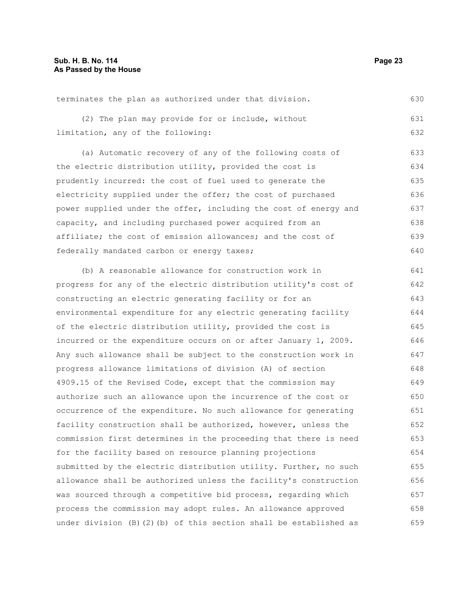terminates the plan as authorized under that division. 630

|                                   |  |  | (2) The plan may provide for or include, without |  | 631 |
|-----------------------------------|--|--|--------------------------------------------------|--|-----|
| limitation, any of the following: |  |  |                                                  |  |     |

(a) Automatic recovery of any of the following costs of the electric distribution utility, provided the cost is prudently incurred: the cost of fuel used to generate the electricity supplied under the offer; the cost of purchased power supplied under the offer, including the cost of energy and capacity, and including purchased power acquired from an affiliate; the cost of emission allowances; and the cost of federally mandated carbon or energy taxes; 633 634 635 636 637 638 639 640

(b) A reasonable allowance for construction work in progress for any of the electric distribution utility's cost of constructing an electric generating facility or for an environmental expenditure for any electric generating facility of the electric distribution utility, provided the cost is incurred or the expenditure occurs on or after January 1, 2009. Any such allowance shall be subject to the construction work in progress allowance limitations of division (A) of section 4909.15 of the Revised Code, except that the commission may authorize such an allowance upon the incurrence of the cost or occurrence of the expenditure. No such allowance for generating facility construction shall be authorized, however, unless the commission first determines in the proceeding that there is need for the facility based on resource planning projections submitted by the electric distribution utility. Further, no such allowance shall be authorized unless the facility's construction was sourced through a competitive bid process, regarding which process the commission may adopt rules. An allowance approved under division (B)(2)(b) of this section shall be established as 641 642 643 644 645 646 647 648 649 650 651 652 653 654 655 656 657 658 659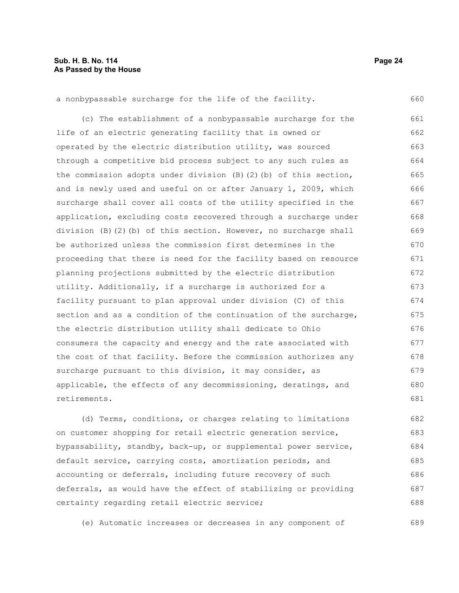689

a nonbypassable surcharge for the life of the facility. (c) The establishment of a nonbypassable surcharge for the life of an electric generating facility that is owned or operated by the electric distribution utility, was sourced through a competitive bid process subject to any such rules as the commission adopts under division  $(B)$  (2)(b) of this section, and is newly used and useful on or after January 1, 2009, which surcharge shall cover all costs of the utility specified in the application, excluding costs recovered through a surcharge under division (B)(2)(b) of this section. However, no surcharge shall be authorized unless the commission first determines in the proceeding that there is need for the facility based on resource planning projections submitted by the electric distribution utility. Additionally, if a surcharge is authorized for a facility pursuant to plan approval under division (C) of this section and as a condition of the continuation of the surcharge, the electric distribution utility shall dedicate to Ohio consumers the capacity and energy and the rate associated with the cost of that facility. Before the commission authorizes any surcharge pursuant to this division, it may consider, as applicable, the effects of any decommissioning, deratings, and retirements. 660 661 662 663 664 665 666 667 668 669 670 671 672 673 674 675 676 677 678 679 680 681

(d) Terms, conditions, or charges relating to limitations on customer shopping for retail electric generation service, bypassability, standby, back-up, or supplemental power service, default service, carrying costs, amortization periods, and accounting or deferrals, including future recovery of such deferrals, as would have the effect of stabilizing or providing certainty regarding retail electric service; 682 683 684 685 686 687 688

(e) Automatic increases or decreases in any component of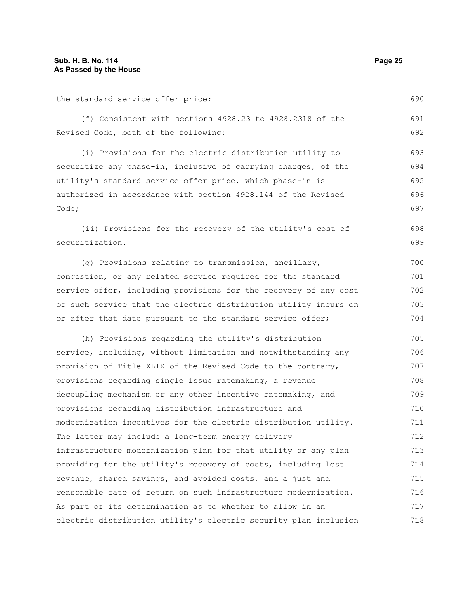the standard service offer price;

(f) Consistent with sections 4928.23 to 4928.2318 of the Revised Code, both of the following: 691 692

(i) Provisions for the electric distribution utility to securitize any phase-in, inclusive of carrying charges, of the utility's standard service offer price, which phase-in is authorized in accordance with section 4928.144 of the Revised Code; 693 694 695 696 697

(ii) Provisions for the recovery of the utility's cost of securitization. 698 699

(g) Provisions relating to transmission, ancillary, congestion, or any related service required for the standard service offer, including provisions for the recovery of any cost of such service that the electric distribution utility incurs on or after that date pursuant to the standard service offer; 700 701 702 703 704

(h) Provisions regarding the utility's distribution service, including, without limitation and notwithstanding any provision of Title XLIX of the Revised Code to the contrary, provisions regarding single issue ratemaking, a revenue decoupling mechanism or any other incentive ratemaking, and provisions regarding distribution infrastructure and modernization incentives for the electric distribution utility. The latter may include a long-term energy delivery infrastructure modernization plan for that utility or any plan providing for the utility's recovery of costs, including lost revenue, shared savings, and avoided costs, and a just and reasonable rate of return on such infrastructure modernization. As part of its determination as to whether to allow in an electric distribution utility's electric security plan inclusion 705 706 707 708 709 710 711 712 713 714 715 716 717 718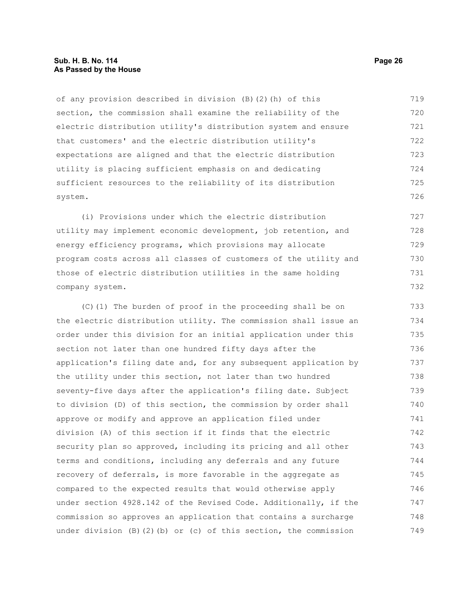#### **Sub. H. B. No. 114 Page 26 As Passed by the House**

of any provision described in division (B)(2)(h) of this section, the commission shall examine the reliability of the electric distribution utility's distribution system and ensure that customers' and the electric distribution utility's expectations are aligned and that the electric distribution utility is placing sufficient emphasis on and dedicating sufficient resources to the reliability of its distribution system. 719 720 721 722 723 724 725 726

(i) Provisions under which the electric distribution utility may implement economic development, job retention, and energy efficiency programs, which provisions may allocate program costs across all classes of customers of the utility and those of electric distribution utilities in the same holding company system. 727 728 729 730 731 732

(C)(1) The burden of proof in the proceeding shall be on the electric distribution utility. The commission shall issue an order under this division for an initial application under this section not later than one hundred fifty days after the application's filing date and, for any subsequent application by the utility under this section, not later than two hundred seventy-five days after the application's filing date. Subject to division (D) of this section, the commission by order shall approve or modify and approve an application filed under division (A) of this section if it finds that the electric security plan so approved, including its pricing and all other terms and conditions, including any deferrals and any future recovery of deferrals, is more favorable in the aggregate as compared to the expected results that would otherwise apply under section 4928.142 of the Revised Code. Additionally, if the commission so approves an application that contains a surcharge under division  $(B)(2)(b)$  or  $(c)$  of this section, the commission 733 734 735 736 737 738 739 740 741 742 743 744 745 746 747 748 749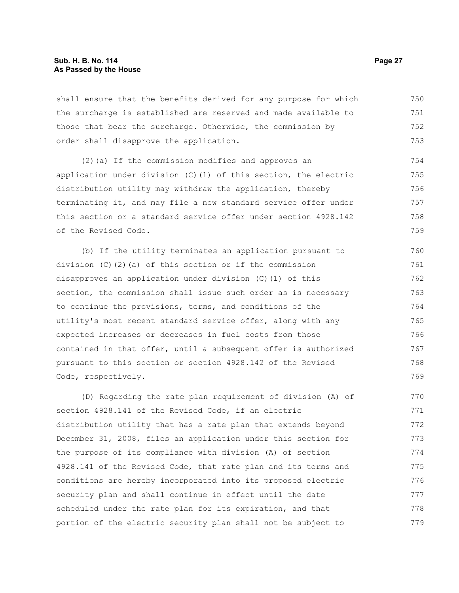#### **Sub. H. B. No. 114 Page 27 As Passed by the House**

shall ensure that the benefits derived for any purpose for which the surcharge is established are reserved and made available to those that bear the surcharge. Otherwise, the commission by order shall disapprove the application. 750 751 752 753

(2)(a) If the commission modifies and approves an application under division (C)(1) of this section, the electric distribution utility may withdraw the application, thereby terminating it, and may file a new standard service offer under this section or a standard service offer under section 4928.142 of the Revised Code. 754 755 756 757 758 759

(b) If the utility terminates an application pursuant to division (C)(2)(a) of this section or if the commission disapproves an application under division (C)(1) of this section, the commission shall issue such order as is necessary to continue the provisions, terms, and conditions of the utility's most recent standard service offer, along with any expected increases or decreases in fuel costs from those contained in that offer, until a subsequent offer is authorized pursuant to this section or section 4928.142 of the Revised Code, respectively. 760 761 762 763 764 765 766 767 768 769

(D) Regarding the rate plan requirement of division (A) of section 4928.141 of the Revised Code, if an electric distribution utility that has a rate plan that extends beyond December 31, 2008, files an application under this section for the purpose of its compliance with division (A) of section 4928.141 of the Revised Code, that rate plan and its terms and conditions are hereby incorporated into its proposed electric security plan and shall continue in effect until the date scheduled under the rate plan for its expiration, and that portion of the electric security plan shall not be subject to 770 771 772 773 774 775 776 777 778 779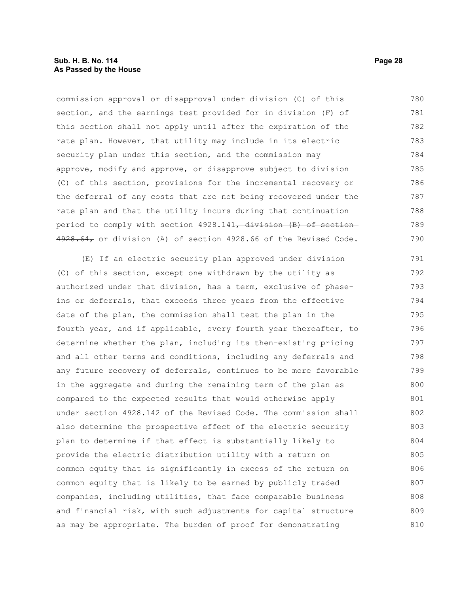#### **Sub. H. B. No. 114 Page 28 As Passed by the House**

commission approval or disapproval under division (C) of this section, and the earnings test provided for in division (F) of this section shall not apply until after the expiration of the rate plan. However, that utility may include in its electric security plan under this section, and the commission may approve, modify and approve, or disapprove subject to division (C) of this section, provisions for the incremental recovery or the deferral of any costs that are not being recovered under the rate plan and that the utility incurs during that continuation period to comply with section 4928.141<del>, division (B) of section</del>  $4928.64<sub>r</sub>$  or division (A) of section 4928.66 of the Revised Code. 780 781 782 783 784 785 786 787 788 789 790

(E) If an electric security plan approved under division (C) of this section, except one withdrawn by the utility as authorized under that division, has a term, exclusive of phaseins or deferrals, that exceeds three years from the effective date of the plan, the commission shall test the plan in the fourth year, and if applicable, every fourth year thereafter, to determine whether the plan, including its then-existing pricing and all other terms and conditions, including any deferrals and any future recovery of deferrals, continues to be more favorable in the aggregate and during the remaining term of the plan as compared to the expected results that would otherwise apply under section 4928.142 of the Revised Code. The commission shall also determine the prospective effect of the electric security plan to determine if that effect is substantially likely to provide the electric distribution utility with a return on common equity that is significantly in excess of the return on common equity that is likely to be earned by publicly traded companies, including utilities, that face comparable business and financial risk, with such adjustments for capital structure as may be appropriate. The burden of proof for demonstrating 791 792 793 794 795 796 797 798 799 800 801 802 803 804 805 806 807 808 809 810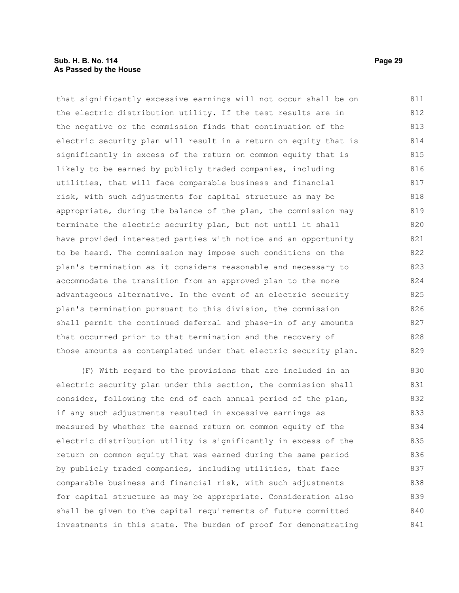#### **Sub. H. B. No. 114 Page 29 As Passed by the House**

that significantly excessive earnings will not occur shall be on the electric distribution utility. If the test results are in the negative or the commission finds that continuation of the electric security plan will result in a return on equity that is significantly in excess of the return on common equity that is likely to be earned by publicly traded companies, including utilities, that will face comparable business and financial risk, with such adjustments for capital structure as may be appropriate, during the balance of the plan, the commission may terminate the electric security plan, but not until it shall have provided interested parties with notice and an opportunity to be heard. The commission may impose such conditions on the plan's termination as it considers reasonable and necessary to accommodate the transition from an approved plan to the more advantageous alternative. In the event of an electric security plan's termination pursuant to this division, the commission shall permit the continued deferral and phase-in of any amounts that occurred prior to that termination and the recovery of those amounts as contemplated under that electric security plan. 811 812 813 814 815 816 817 818 819 820 821 822 823 824 825 826 827 828 829

(F) With regard to the provisions that are included in an electric security plan under this section, the commission shall consider, following the end of each annual period of the plan, if any such adjustments resulted in excessive earnings as measured by whether the earned return on common equity of the electric distribution utility is significantly in excess of the return on common equity that was earned during the same period by publicly traded companies, including utilities, that face comparable business and financial risk, with such adjustments for capital structure as may be appropriate. Consideration also shall be given to the capital requirements of future committed investments in this state. The burden of proof for demonstrating 830 831 832 833 834 835 836 837 838 839 840 841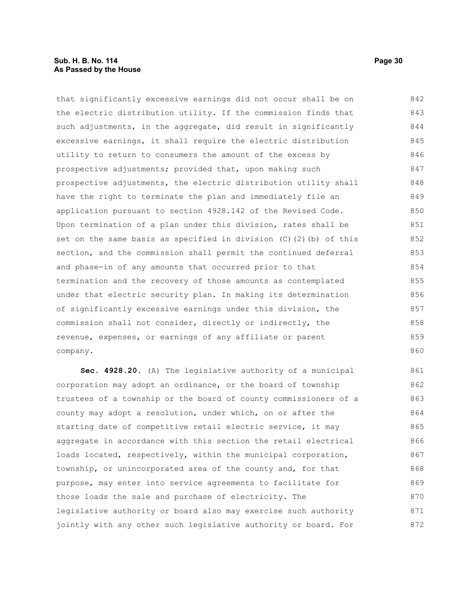#### **Sub. H. B. No. 114 Page 30 As Passed by the House**

that significantly excessive earnings did not occur shall be on the electric distribution utility. If the commission finds that such adjustments, in the aggregate, did result in significantly excessive earnings, it shall require the electric distribution utility to return to consumers the amount of the excess by prospective adjustments; provided that, upon making such prospective adjustments, the electric distribution utility shall have the right to terminate the plan and immediately file an application pursuant to section 4928.142 of the Revised Code. Upon termination of a plan under this division, rates shall be set on the same basis as specified in division (C)(2)(b) of this section, and the commission shall permit the continued deferral and phase-in of any amounts that occurred prior to that termination and the recovery of those amounts as contemplated under that electric security plan. In making its determination of significantly excessive earnings under this division, the commission shall not consider, directly or indirectly, the revenue, expenses, or earnings of any affiliate or parent company. 842 843 844 845 846 847 848 849 850 851 852 853 854 855 856 857 858 859 860

**Sec. 4928.20.** (A) The legislative authority of a municipal corporation may adopt an ordinance, or the board of township trustees of a township or the board of county commissioners of a county may adopt a resolution, under which, on or after the starting date of competitive retail electric service, it may aggregate in accordance with this section the retail electrical loads located, respectively, within the municipal corporation, township, or unincorporated area of the county and, for that purpose, may enter into service agreements to facilitate for those loads the sale and purchase of electricity. The legislative authority or board also may exercise such authority jointly with any other such legislative authority or board. For 861 862 863 864 865 866 867 868 869 870 871 872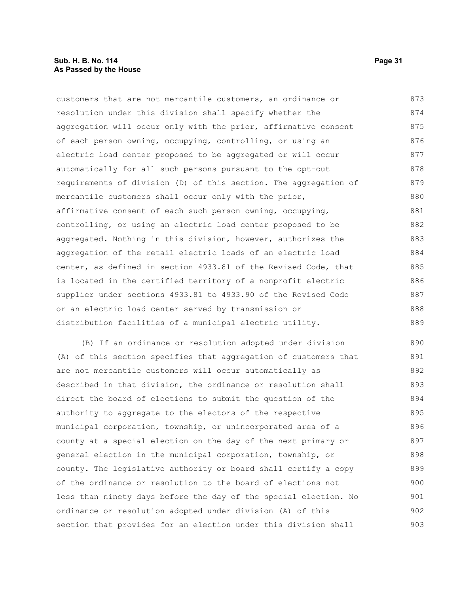#### **Sub. H. B. No. 114 Page 31 As Passed by the House**

customers that are not mercantile customers, an ordinance or resolution under this division shall specify whether the aggregation will occur only with the prior, affirmative consent of each person owning, occupying, controlling, or using an electric load center proposed to be aggregated or will occur automatically for all such persons pursuant to the opt-out requirements of division (D) of this section. The aggregation of mercantile customers shall occur only with the prior, affirmative consent of each such person owning, occupying, controlling, or using an electric load center proposed to be aggregated. Nothing in this division, however, authorizes the aggregation of the retail electric loads of an electric load center, as defined in section 4933.81 of the Revised Code, that is located in the certified territory of a nonprofit electric supplier under sections 4933.81 to 4933.90 of the Revised Code or an electric load center served by transmission or distribution facilities of a municipal electric utility. 873 874 875 876 877 878 879 880 881 882 883 884 885 886 887 888 889

(B) If an ordinance or resolution adopted under division (A) of this section specifies that aggregation of customers that are not mercantile customers will occur automatically as described in that division, the ordinance or resolution shall direct the board of elections to submit the question of the authority to aggregate to the electors of the respective municipal corporation, township, or unincorporated area of a county at a special election on the day of the next primary or general election in the municipal corporation, township, or county. The legislative authority or board shall certify a copy of the ordinance or resolution to the board of elections not less than ninety days before the day of the special election. No ordinance or resolution adopted under division (A) of this section that provides for an election under this division shall 890 891 892 893 894 895 896 897 898 899 900 901 902 903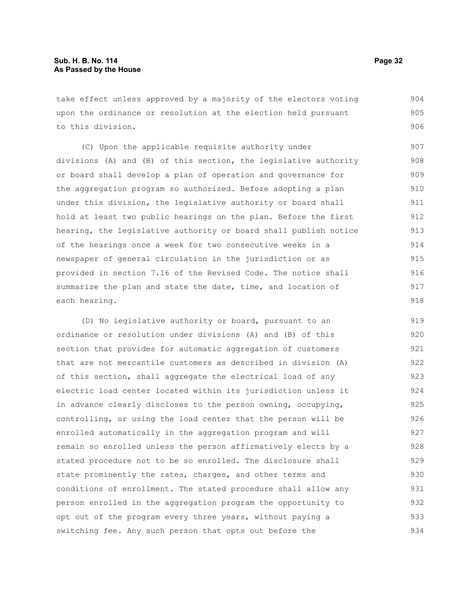take effect unless approved by a majority of the electors voting upon the ordinance or resolution at the election held pursuant to this division. 904 905 906

(C) Upon the applicable requisite authority under divisions (A) and (B) of this section, the legislative authority or board shall develop a plan of operation and governance for the aggregation program so authorized. Before adopting a plan under this division, the legislative authority or board shall hold at least two public hearings on the plan. Before the first hearing, the legislative authority or board shall publish notice of the hearings once a week for two consecutive weeks in a newspaper of general circulation in the jurisdiction or as provided in section 7.16 of the Revised Code. The notice shall summarize the plan and state the date, time, and location of each hearing. 907 908 909 910 911 912 913 914 915 916 917 918

(D) No legislative authority or board, pursuant to an ordinance or resolution under divisions (A) and (B) of this section that provides for automatic aggregation of customers that are not mercantile customers as described in division (A) of this section, shall aggregate the electrical load of any electric load center located within its jurisdiction unless it in advance clearly discloses to the person owning, occupying, controlling, or using the load center that the person will be enrolled automatically in the aggregation program and will remain so enrolled unless the person affirmatively elects by a stated procedure not to be so enrolled. The disclosure shall state prominently the rates, charges, and other terms and conditions of enrollment. The stated procedure shall allow any person enrolled in the aggregation program the opportunity to opt out of the program every three years, without paying a switching fee. Any such person that opts out before the 919 920 921 922 923 924 925 926 927 928 929 930 931 932 933 934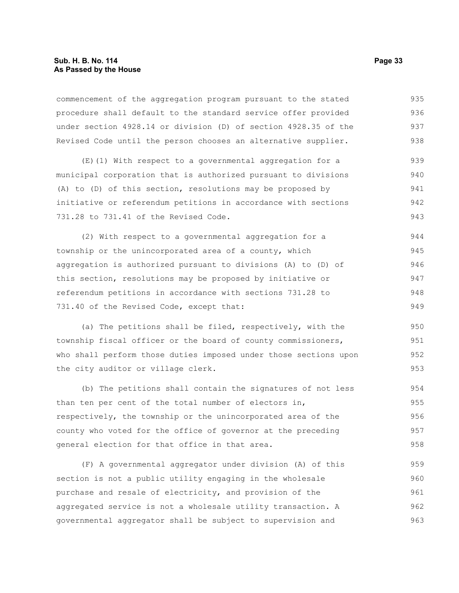commencement of the aggregation program pursuant to the stated procedure shall default to the standard service offer provided under section 4928.14 or division (D) of section 4928.35 of the Revised Code until the person chooses an alternative supplier. 935 936 937 938

(E)(1) With respect to a governmental aggregation for a municipal corporation that is authorized pursuant to divisions (A) to (D) of this section, resolutions may be proposed by initiative or referendum petitions in accordance with sections 731.28 to 731.41 of the Revised Code. 939 940 941 942 943

(2) With respect to a governmental aggregation for a township or the unincorporated area of a county, which aggregation is authorized pursuant to divisions (A) to (D) of this section, resolutions may be proposed by initiative or referendum petitions in accordance with sections 731.28 to 731.40 of the Revised Code, except that: 944 945 946 947 948 949

(a) The petitions shall be filed, respectively, with the township fiscal officer or the board of county commissioners, who shall perform those duties imposed under those sections upon the city auditor or village clerk.

(b) The petitions shall contain the signatures of not less than ten per cent of the total number of electors in, respectively, the township or the unincorporated area of the county who voted for the office of governor at the preceding general election for that office in that area. 954 955 956 957 958

(F) A governmental aggregator under division (A) of this section is not a public utility engaging in the wholesale purchase and resale of electricity, and provision of the aggregated service is not a wholesale utility transaction. A governmental aggregator shall be subject to supervision and 959 960 961 962 963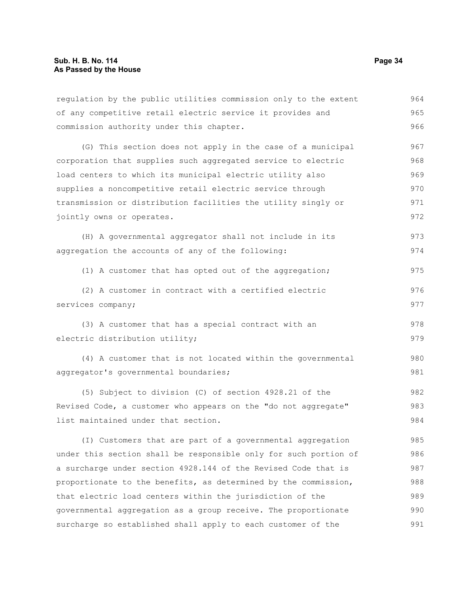regulation by the public utilities commission only to the extent of any competitive retail electric service it provides and commission authority under this chapter. 964 965 966

(G) This section does not apply in the case of a municipal corporation that supplies such aggregated service to electric load centers to which its municipal electric utility also supplies a noncompetitive retail electric service through transmission or distribution facilities the utility singly or jointly owns or operates. 967 968 969 970 971 972

(H) A governmental aggregator shall not include in its aggregation the accounts of any of the following: 973 974

(1) A customer that has opted out of the aggregation; 975

(2) A customer in contract with a certified electric services company; 976 977

(3) A customer that has a special contract with an electric distribution utility;

(4) A customer that is not located within the governmental aggregator's governmental boundaries; 980 981

(5) Subject to division (C) of section 4928.21 of the Revised Code, a customer who appears on the "do not aggregate" list maintained under that section. 982 983 984

(I) Customers that are part of a governmental aggregation under this section shall be responsible only for such portion of a surcharge under section 4928.144 of the Revised Code that is proportionate to the benefits, as determined by the commission, that electric load centers within the jurisdiction of the governmental aggregation as a group receive. The proportionate surcharge so established shall apply to each customer of the 985 986 987 988 989 990 991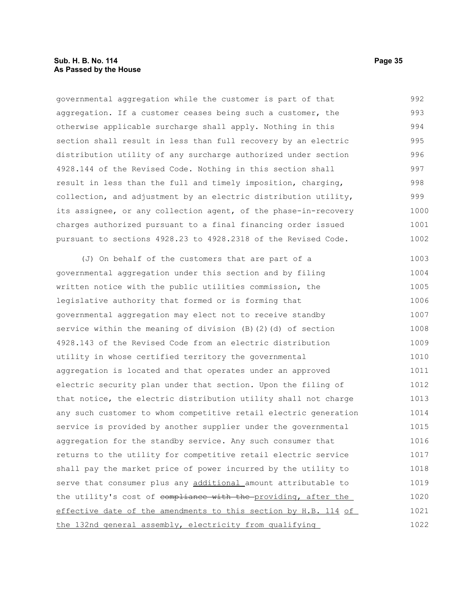governmental aggregation while the customer is part of that aggregation. If a customer ceases being such a customer, the otherwise applicable surcharge shall apply. Nothing in this section shall result in less than full recovery by an electric distribution utility of any surcharge authorized under section 4928.144 of the Revised Code. Nothing in this section shall result in less than the full and timely imposition, charging, collection, and adjustment by an electric distribution utility, its assignee, or any collection agent, of the phase-in-recovery charges authorized pursuant to a final financing order issued pursuant to sections 4928.23 to 4928.2318 of the Revised Code. 992 993 994 995 996 997 998 999 1000 1001 1002

(J) On behalf of the customers that are part of a governmental aggregation under this section and by filing written notice with the public utilities commission, the legislative authority that formed or is forming that governmental aggregation may elect not to receive standby service within the meaning of division (B)(2)(d) of section 4928.143 of the Revised Code from an electric distribution utility in whose certified territory the governmental aggregation is located and that operates under an approved electric security plan under that section. Upon the filing of that notice, the electric distribution utility shall not charge any such customer to whom competitive retail electric generation service is provided by another supplier under the governmental aggregation for the standby service. Any such consumer that returns to the utility for competitive retail electric service shall pay the market price of power incurred by the utility to serve that consumer plus any additional amount attributable to the utility's cost of compliance with the providing, after the effective date of the amendments to this section by H.B. 114 of the 132nd general assembly, electricity from qualifying 1003 1004 1005 1006 1007 1008 1009 1010 1011 1012 1013 1014 1015 1016 1017 1018 1019 1020 1021 1022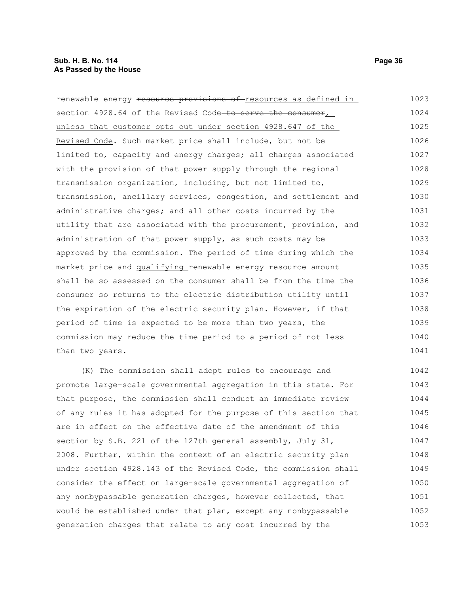#### **Sub. H. B. No. 114 Page 36 As Passed by the House**

renewable energy resource provisions of resources as defined in section 4928.64 of the Revised Code to serve the consumer, unless that customer opts out under section 4928.647 of the Revised Code. Such market price shall include, but not be limited to, capacity and energy charges; all charges associated with the provision of that power supply through the regional transmission organization, including, but not limited to, transmission, ancillary services, congestion, and settlement and administrative charges; and all other costs incurred by the utility that are associated with the procurement, provision, and administration of that power supply, as such costs may be approved by the commission. The period of time during which the market price and qualifying renewable energy resource amount shall be so assessed on the consumer shall be from the time the consumer so returns to the electric distribution utility until the expiration of the electric security plan. However, if that period of time is expected to be more than two years, the commission may reduce the time period to a period of not less than two years. 1023 1024 1025 1026 1027 1028 1029 1030 1031 1032 1033 1034 1035 1036 1037 1038 1039 1040 1041

(K) The commission shall adopt rules to encourage and promote large-scale governmental aggregation in this state. For that purpose, the commission shall conduct an immediate review of any rules it has adopted for the purpose of this section that are in effect on the effective date of the amendment of this section by S.B. 221 of the 127th general assembly, July 31, 2008. Further, within the context of an electric security plan under section 4928.143 of the Revised Code, the commission shall consider the effect on large-scale governmental aggregation of any nonbypassable generation charges, however collected, that would be established under that plan, except any nonbypassable generation charges that relate to any cost incurred by the 1042 1043 1044 1045 1046 1047 1048 1049 1050 1051 1052 1053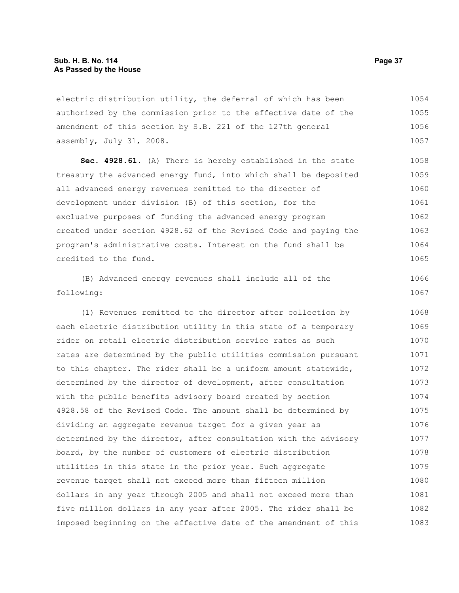electric distribution utility, the deferral of which has been authorized by the commission prior to the effective date of the amendment of this section by S.B. 221 of the 127th general assembly, July 31, 2008. 1054 1055 1056 1057

**Sec. 4928.61.** (A) There is hereby established in the state treasury the advanced energy fund, into which shall be deposited all advanced energy revenues remitted to the director of development under division (B) of this section, for the exclusive purposes of funding the advanced energy program created under section 4928.62 of the Revised Code and paying the program's administrative costs. Interest on the fund shall be credited to the fund. 1058 1059 1060 1061 1062 1063 1064 1065

(B) Advanced energy revenues shall include all of the following: 1066 1067

(1) Revenues remitted to the director after collection by each electric distribution utility in this state of a temporary rider on retail electric distribution service rates as such rates are determined by the public utilities commission pursuant to this chapter. The rider shall be a uniform amount statewide, determined by the director of development, after consultation with the public benefits advisory board created by section 4928.58 of the Revised Code. The amount shall be determined by dividing an aggregate revenue target for a given year as determined by the director, after consultation with the advisory board, by the number of customers of electric distribution utilities in this state in the prior year. Such aggregate revenue target shall not exceed more than fifteen million dollars in any year through 2005 and shall not exceed more than five million dollars in any year after 2005. The rider shall be imposed beginning on the effective date of the amendment of this 1068 1069 1070 1071 1072 1073 1074 1075 1076 1077 1078 1079 1080 1081 1082 1083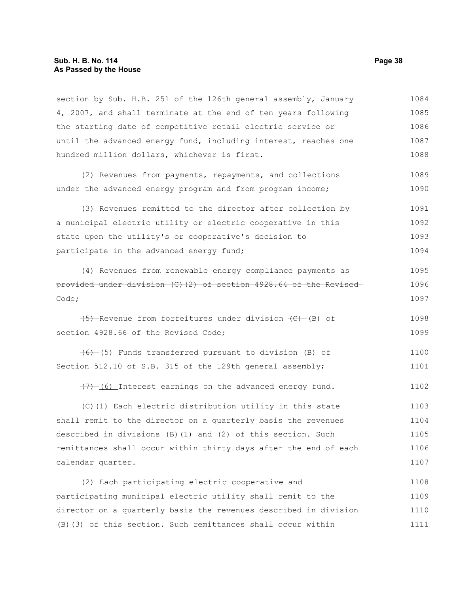### **Sub. H. B. No. 114 Page 38 As Passed by the House**

section by Sub. H.B. 251 of the 126th general assembly, January 4, 2007, and shall terminate at the end of ten years following the starting date of competitive retail electric service or until the advanced energy fund, including interest, reaches one hundred million dollars, whichever is first. (2) Revenues from payments, repayments, and collections under the advanced energy program and from program income; (3) Revenues remitted to the director after collection by a municipal electric utility or electric cooperative in this state upon the utility's or cooperative's decision to participate in the advanced energy fund; (4) Revenues from renewable energy compliance payments as provided under division (C)(2) of section 4928.64 of the Revised Code;  $(5)$ -Revenue from forfeitures under division  $(E)$ -(B) of section 4928.66 of the Revised Code: (6) (5) Funds transferred pursuant to division (B) of Section 512.10 of S.B. 315 of the 129th general assembly;  $(7)$  (6) Interest earnings on the advanced energy fund. (C)(1) Each electric distribution utility in this state shall remit to the director on a quarterly basis the revenues 1084 1085 1086 1087 1088 1089 1090 1091 1092 1093 1094 1095 1096 1097 1098 1099 1100 1101 1102 1103 1104

described in divisions (B)(1) and (2) of this section. Such remittances shall occur within thirty days after the end of each calendar quarter. 1105 1106 1107

(2) Each participating electric cooperative and participating municipal electric utility shall remit to the director on a quarterly basis the revenues described in division (B)(3) of this section. Such remittances shall occur within 1108 1109 1110 1111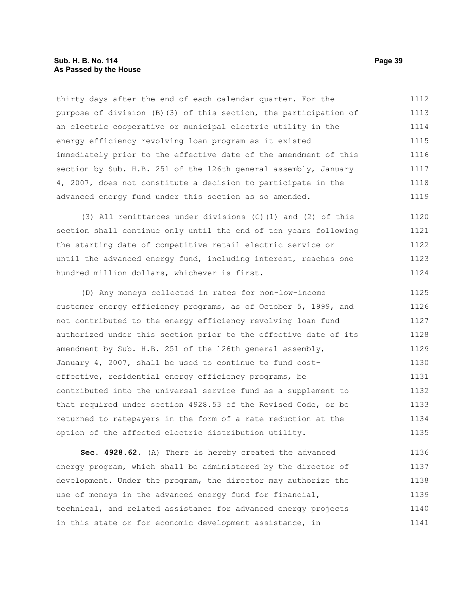thirty days after the end of each calendar quarter. For the purpose of division (B)(3) of this section, the participation of an electric cooperative or municipal electric utility in the energy efficiency revolving loan program as it existed immediately prior to the effective date of the amendment of this section by Sub. H.B. 251 of the 126th general assembly, January 4, 2007, does not constitute a decision to participate in the advanced energy fund under this section as so amended. 1112 1113 1114 1115 1116 1117 1118 1119

(3) All remittances under divisions (C)(1) and (2) of this section shall continue only until the end of ten years following the starting date of competitive retail electric service or until the advanced energy fund, including interest, reaches one hundred million dollars, whichever is first. 1120 1121 1122 1123 1124

(D) Any moneys collected in rates for non-low-income customer energy efficiency programs, as of October 5, 1999, and not contributed to the energy efficiency revolving loan fund authorized under this section prior to the effective date of its amendment by Sub. H.B. 251 of the 126th general assembly, January 4, 2007, shall be used to continue to fund costeffective, residential energy efficiency programs, be contributed into the universal service fund as a supplement to that required under section 4928.53 of the Revised Code, or be returned to ratepayers in the form of a rate reduction at the option of the affected electric distribution utility. 1125 1126 1127 1128 1129 1130 1131 1132 1133 1134 1135

**Sec. 4928.62.** (A) There is hereby created the advanced energy program, which shall be administered by the director of development. Under the program, the director may authorize the use of moneys in the advanced energy fund for financial, technical, and related assistance for advanced energy projects in this state or for economic development assistance, in 1136 1137 1138 1139 1140 1141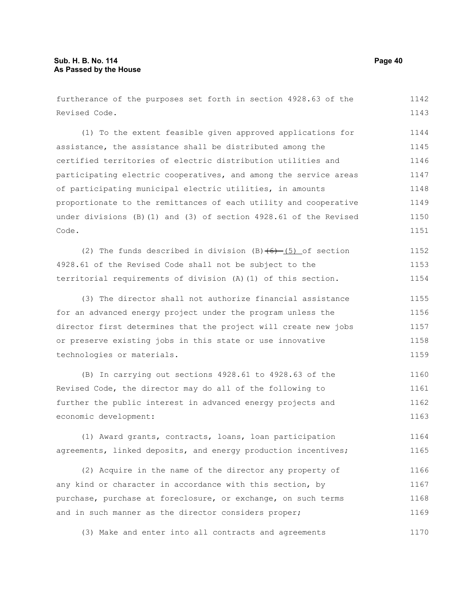furtherance of the purposes set forth in section 4928.63 of the Revised Code. 1142 1143

(1) To the extent feasible given approved applications for assistance, the assistance shall be distributed among the certified territories of electric distribution utilities and participating electric cooperatives, and among the service areas of participating municipal electric utilities, in amounts proportionate to the remittances of each utility and cooperative under divisions (B)(1) and (3) of section 4928.61 of the Revised Code. 1144 1145 1146 1147 1148 1149 1150 1151

(2) The funds described in division  $(B)(6)$  (5) of section 4928.61 of the Revised Code shall not be subject to the territorial requirements of division (A)(1) of this section. 1152 1153 1154

(3) The director shall not authorize financial assistance for an advanced energy project under the program unless the director first determines that the project will create new jobs or preserve existing jobs in this state or use innovative technologies or materials. 1155 1156 1157 1158 1159

(B) In carrying out sections 4928.61 to 4928.63 of the Revised Code, the director may do all of the following to further the public interest in advanced energy projects and economic development: 1160 1161 1162 1163

(1) Award grants, contracts, loans, loan participation agreements, linked deposits, and energy production incentives; 1164 1165

(2) Acquire in the name of the director any property of any kind or character in accordance with this section, by purchase, purchase at foreclosure, or exchange, on such terms and in such manner as the director considers proper; 1166 1167 1168 1169

(3) Make and enter into all contracts and agreements 1170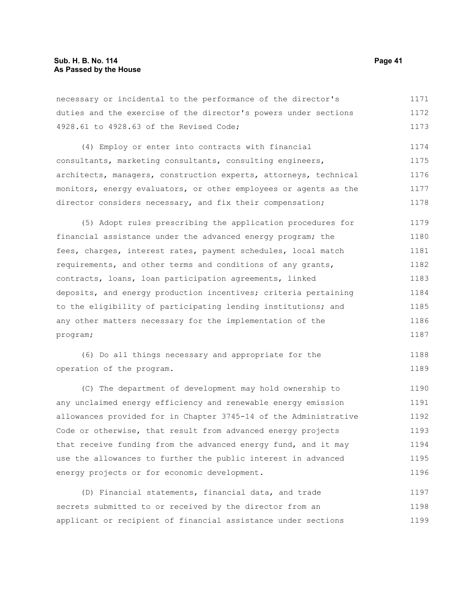necessary or incidental to the performance of the director's duties and the exercise of the director's powers under sections 4928.61 to 4928.63 of the Revised Code; 1171 1172 1173

(4) Employ or enter into contracts with financial consultants, marketing consultants, consulting engineers, architects, managers, construction experts, attorneys, technical monitors, energy evaluators, or other employees or agents as the director considers necessary, and fix their compensation; 1174 1175 1176 1177 1178

(5) Adopt rules prescribing the application procedures for financial assistance under the advanced energy program; the fees, charges, interest rates, payment schedules, local match requirements, and other terms and conditions of any grants, contracts, loans, loan participation agreements, linked deposits, and energy production incentives; criteria pertaining to the eligibility of participating lending institutions; and any other matters necessary for the implementation of the program; 1179 1180 1181 1182 1183 1184 1185 1186 1187

(6) Do all things necessary and appropriate for the operation of the program. 1188 1189

(C) The department of development may hold ownership to any unclaimed energy efficiency and renewable energy emission allowances provided for in Chapter 3745-14 of the Administrative Code or otherwise, that result from advanced energy projects that receive funding from the advanced energy fund, and it may use the allowances to further the public interest in advanced energy projects or for economic development. 1190 1191 1192 1193 1194 1195 1196

(D) Financial statements, financial data, and trade secrets submitted to or received by the director from an applicant or recipient of financial assistance under sections 1197 1198 1199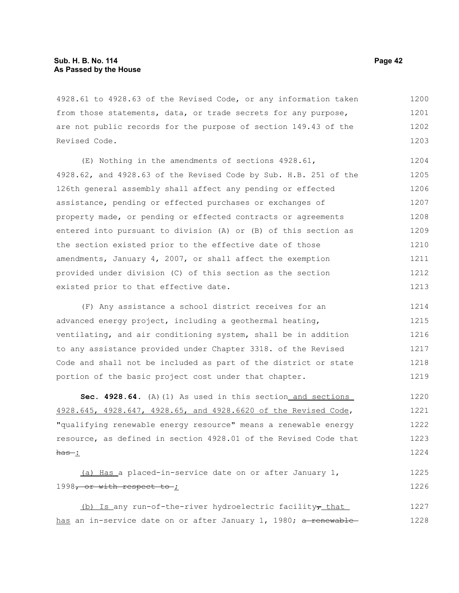4928.61 to 4928.63 of the Revised Code, or any information taken from those statements, data, or trade secrets for any purpose, are not public records for the purpose of section 149.43 of the Revised Code. 1200 1201 1202 1203

(E) Nothing in the amendments of sections 4928.61, 4928.62, and 4928.63 of the Revised Code by Sub. H.B. 251 of the 126th general assembly shall affect any pending or effected assistance, pending or effected purchases or exchanges of property made, or pending or effected contracts or agreements entered into pursuant to division (A) or (B) of this section as the section existed prior to the effective date of those amendments, January 4, 2007, or shall affect the exemption provided under division (C) of this section as the section existed prior to that effective date. 1204 1205 1206 1207 1208 1209 1210 1211 1212 1213

(F) Any assistance a school district receives for an advanced energy project, including a geothermal heating, ventilating, and air conditioning system, shall be in addition to any assistance provided under Chapter 3318. of the Revised Code and shall not be included as part of the district or state portion of the basic project cost under that chapter. 1214 1215 1216 1217 1218 1219

**Sec. 4928.64.** (A)(1) As used in this section and sections 4928.645, 4928.647, 4928.65, and 4928.6620 of the Revised Code, "qualifying renewable energy resource" means a renewable energy resource, as defined in section 4928.01 of the Revised Code that  $has:$ 1220 1221 1222 1223 1224

 (a) Has a placed-in-service date on or after January 1, 1998, or with respect to ; 1225 1226

(b) Is any run-of-the-river hydroelectric facility $\tau$  that has an in-service date on or after January 1, 1980; a renewable-1227 1228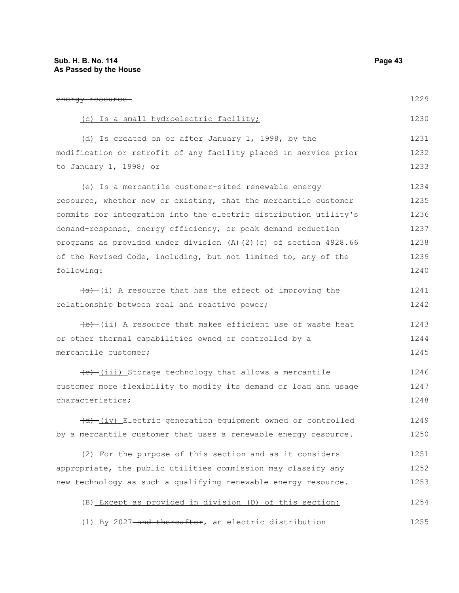energy resource (c) Is a small hydroelectric facility; (d) Is created on or after January 1, 1998, by the modification or retrofit of any facility placed in service prior to January 1, 1998; or (e) Is a mercantile customer-sited renewable energy resource, whether new or existing, that the mercantile customer commits for integration into the electric distribution utility's demand-response, energy efficiency, or peak demand reduction programs as provided under division (A)(2)(c) of section 4928.66 of the Revised Code, including, but not limited to, any of the following:  $(a)$  (i) A resource that has the effect of improving the relationship between real and reactive power;  $(b)$  (ii) A resource that makes efficient use of waste heat or other thermal capabilities owned or controlled by a mercantile customer;  $(e)$  (iii) Storage technology that allows a mercantile customer more flexibility to modify its demand or load and usage characteristics; (d) (iv) Electric generation equipment owned or controlled by a mercantile customer that uses a renewable energy resource. (2) For the purpose of this section and as it considers appropriate, the public utilities commission may classify any new technology as such a qualifying renewable energy resource. 1229 1230 1231 1232 1233 1234 1235 1236 1237 1238 1239 1240 1241 1242 1243 1244 1245 1246 1247 1248 1249 1250 1251 1252 1253

(B) Except as provided in division (D) of this section: 1254

(1) By 2027-and thereafter, an electric distribution 1255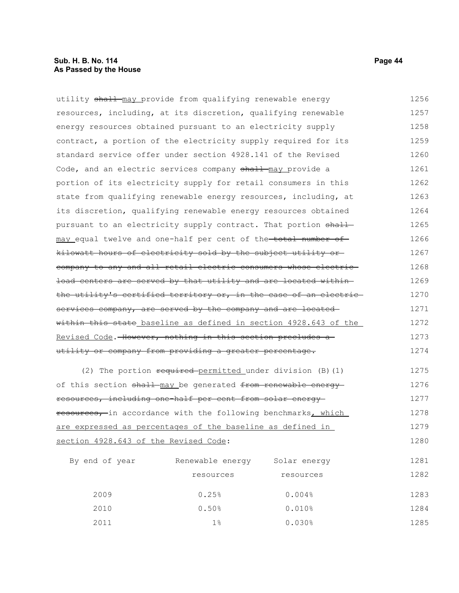utility shall may provide from qualifying renewable energy resources, including, at its discretion, qualifying renewable energy resources obtained pursuant to an electricity supply contract, a portion of the electricity supply required for its standard service offer under section 4928.141 of the Revised Code, and an electric services company shall may provide a portion of its electricity supply for retail consumers in this state from qualifying renewable energy resources, including, at its discretion, qualifying renewable energy resources obtained pursuant to an electricity supply contract. That portion shallmay equal twelve and one-half per cent of the total number of kilowatt hours of electricity sold by the subject utility or company to any and all retail electric consumers whose electric load centers are served by that utility and are located within the utility's certified territory or, in the case of an electric services company, are served by the company and are located within this state baseline as defined in section 4928.643 of the Revised Code. However, nothing in this section precludes a utility or company from providing a greater percentage. (2) The portion required permitted under division (B)(1) 1256 1257 1258 1259 1260 1261 1262 1263 1264 1265 1266 1267 1268 1269 1270 1271 1272 1273 1274 1275

of this section shall may be generated from renewable energy resources, including one-half per cent from solar energy resources, in accordance with the following benchmarks, which are expressed as percentages of the baseline as defined in section 4928.643 of the Revised Code: 1276 1277 1278 1279 1280

| By end of year | Renewable energy | Solar energy | 1281 |
|----------------|------------------|--------------|------|
|                | resources        | resources    | 1282 |
| 2009           | 0.25%            | 0.004%       | 1283 |
| 2010           | 0.50%            | 0.010%       | 1284 |
| 2011           | $1\%$            | 0.030%       | 1285 |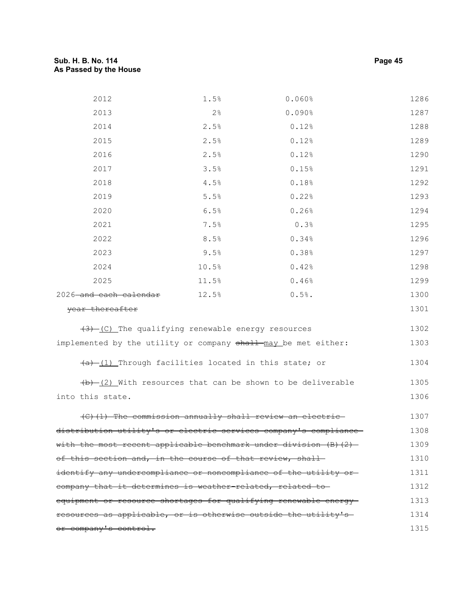# **Sub. H. B. No. 114 Page 45 As Passed by the House**

| 2012                                                                 | 1.5%  | 0.060%                                                               | 1286 |
|----------------------------------------------------------------------|-------|----------------------------------------------------------------------|------|
| 2013                                                                 | 2%    | 0.090%                                                               | 1287 |
| 2014                                                                 | 2.5%  | 0.12%                                                                | 1288 |
| 2015                                                                 | 2.5%  | 0.12%                                                                | 1289 |
| 2016                                                                 | 2.5%  | 0.12%                                                                | 1290 |
| 2017                                                                 | 3.5%  | 0.15%                                                                | 1291 |
| 2018                                                                 | 4.5%  | 0.18%                                                                | 1292 |
| 2019                                                                 | 5.5%  | 0.22%                                                                | 1293 |
| 2020                                                                 | 6.5%  | 0.26%                                                                | 1294 |
| 2021                                                                 | 7.5%  | 0.3%                                                                 | 1295 |
| 2022                                                                 | 8.5%  | 0.34%                                                                | 1296 |
| 2023                                                                 | 9.5%  | 0.38%                                                                | 1297 |
| 2024                                                                 | 10.5% | 0.42%                                                                | 1298 |
| 2025                                                                 | 11.5% | 0.46%                                                                | 1299 |
| 2026 and each calendar                                               | 12.5% | $0.5%$ .                                                             | 1300 |
| year thereafter                                                      |       |                                                                      | 1301 |
| $(3)$ (C) The qualifying renewable energy resources                  |       |                                                                      | 1302 |
| implemented by the utility or company shall may be met either:       |       |                                                                      | 1303 |
|                                                                      |       |                                                                      |      |
| $\frac{a}{b}$ (1) Through facilities located in this state; or       |       |                                                                      | 1304 |
|                                                                      |       | $\frac{1}{2}$ (2) With resources that can be shown to be deliverable | 1305 |
| into this state.                                                     |       |                                                                      | 1306 |
|                                                                      |       | (C)(1) The commission annually shall review an electric              | 1307 |
| distribution utility's or electric services company's compliance     |       |                                                                      | 1308 |
| with the most recent applicable benchmark under division $(B)$ $(2)$ |       |                                                                      | 1309 |
| of this section and, in the course of that review, shall-            |       |                                                                      | 1310 |
| identify any undercompliance or noncompliance of the utility or      |       |                                                                      | 1311 |
| company that it determines is weather-related, related to-           |       |                                                                      | 1312 |
| equipment or resource shortages for qualifying renewable energy-     |       |                                                                      | 1313 |
| resources as applicable, or is otherwise outside the utility's       |       |                                                                      | 1314 |
| or company's control.                                                |       |                                                                      | 1315 |
|                                                                      |       |                                                                      |      |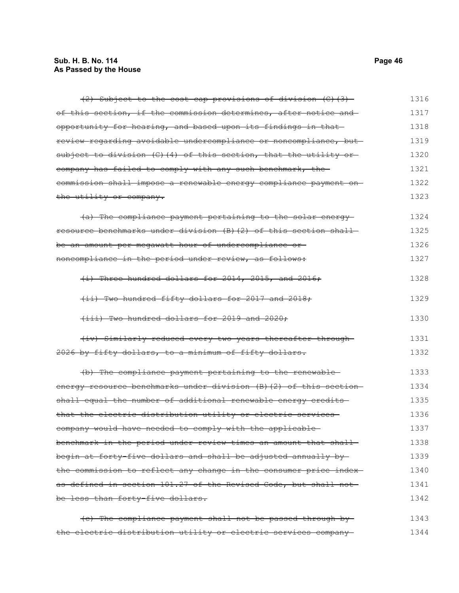# **Sub. H. B. No. 114 Page 46 As Passed by the House**

| (2) Subject to the cost cap provisions of division (C) (3)         | 1316 |
|--------------------------------------------------------------------|------|
| of this section, if the commission determines, after notice and    | 1317 |
| opportunity for hearing, and based upon its findings in that       | 1318 |
| review regarding avoidable undercompliance or noncompliance, but-  | 1319 |
| subject to division (C)(4) of this section, that the utility or    | 1320 |
| company has failed to comply with any such benchmark, the          | 1321 |
| commission shall impose a renewable energy compliance payment on   | 1322 |
| the utility or company.                                            | 1323 |
| (a) The compliance payment pertaining to the solar energy          | 1324 |
| resource benchmarks under division (B) (2) of this section shall-  | 1325 |
| be an amount per megawatt hour of undercompliance or-              | 1326 |
| noncompliance in the period under review, as follows:              | 1327 |
| (i) Three hundred dollars for 2014, 2015, and 2016;                | 1328 |
| (ii) Two hundred fifty dollars for 2017 and 2018;                  | 1329 |
| (iii) Two hundred dollars for 2019 and 2020;                       | 1330 |
| (iv) Similarly reduced every two years thereafter through-         | 1331 |
| 2026 by fifty dollars, to a minimum of fifty-dollars.              | 1332 |
| (b) The compliance payment pertaining to the renewable-            | 1333 |
| energy resource benchmarks under division (B) (2) of this section- | 1334 |
| shall equal the number of additional renewable energy credits-     | 1335 |
| that the electric distribution utility or electric services-       | 1336 |
| company would have needed to comply with the applicable            | 1337 |
| benchmark in the period under review times an amount that shall-   | 1338 |
| begin at forty-five dollars and shall be adjusted annually by-     | 1339 |
| the commission to reflect any change in the consumer price index-  | 1340 |
| as defined in section 101.27 of the Revised Code, but shall not    | 1341 |
| be less than forty-five dollars.                                   | 1342 |
| (e) The compliance payment shall not be passed through by-         | 1343 |

the electric distribution utility or electric services company 1344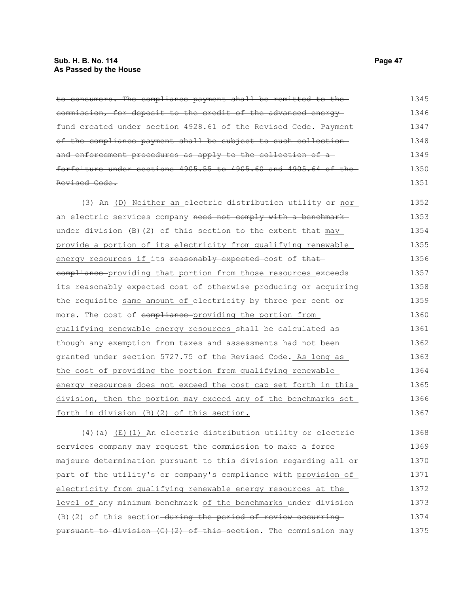#### **Sub. H. B. No. 114 Page 47 As Passed by the House**

to consumers. The compliance payment shall be remitted to the commission, for deposit to the credit of the advanced energy fund created under section 4928.61 of the Revised Code. Payment of the compliance payment shall be subject to such collection and enforcement procedures as apply to the collection of a forfeiture under sections 4905.55 to 4905.60 and 4905.64 of the Revised Code. (3) An (D) Neither an electric distribution utility or nor an electric services company need not comply with a benchmark under division (B)(2) of this section to the extent that may provide a portion of its electricity from qualifying renewable energy resources if its reasonably expected-cost of that eompliance providing that portion from those resources exceeds its reasonably expected cost of otherwise producing or acquiring the requisite-same amount of electricity by three per cent or more. The cost of compliance providing the portion from qualifying renewable energy resources shall be calculated as though any exemption from taxes and assessments had not been granted under section 5727.75 of the Revised Code. As long as the cost of providing the portion from qualifying renewable energy resources does not exceed the cost cap set forth in this division, then the portion may exceed any of the benchmarks set forth in division (B)(2) of this section.  $(4)$  (a)  $(E)$  (1) An electric distribution utility or electric services company may request the commission to make a force majeure determination pursuant to this division regarding all or part of the utility's or company's compliance with provision of electricity from qualifying renewable energy resources at the 1345 1346 1347 1348 1349 1350 1351 1352 1353 1354 1355 1356 1357 1358 1359 1360 1361 1362 1363 1364 1365 1366 1367 1368 1369 1370 1371 1372

level of any minimum benchmark of the benchmarks under division (B)(2) of this section-during the period of review occurring pursuant to division  $(C)$   $(2)$  of this section. The commission may 1373 1374 1375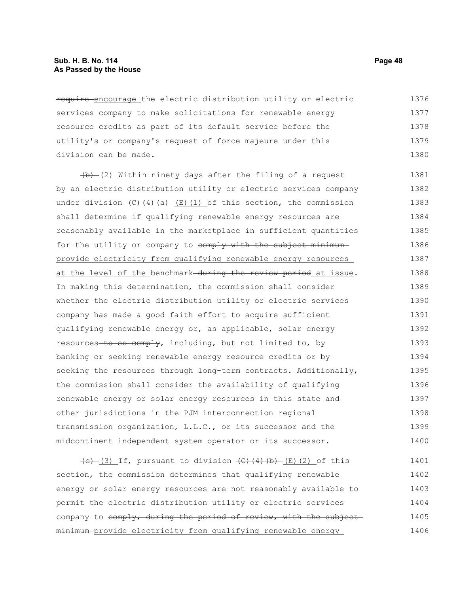#### **Sub. H. B. No. 114 Page 48 As Passed by the House**

require encourage the electric distribution utility or electric services company to make solicitations for renewable energy resource credits as part of its default service before the utility's or company's request of force majeure under this division can be made. 1376 1377 1378 1379 1380

 $(b)$  (2) Within ninety days after the filing of a request by an electric distribution utility or electric services company under division  $\left(\frac{C}{4}\right)\left(\frac{A}{A}\right)$  (E)(1) of this section, the commission shall determine if qualifying renewable energy resources are reasonably available in the marketplace in sufficient quantities for the utility or company to comply with the subject minimumprovide electricity from qualifying renewable energy resources at the level of the benchmark during the review period at issue. In making this determination, the commission shall consider whether the electric distribution utility or electric services company has made a good faith effort to acquire sufficient qualifying renewable energy or, as applicable, solar energy resources to so comply, including, but not limited to, by banking or seeking renewable energy resource credits or by seeking the resources through long-term contracts. Additionally, the commission shall consider the availability of qualifying renewable energy or solar energy resources in this state and other jurisdictions in the PJM interconnection regional transmission organization, L.L.C., or its successor and the midcontinent independent system operator or its successor. 1381 1382 1383 1384 1385 1386 1387 1388 1389 1390 1391 1392 1393 1394 1395 1396 1397 1398 1399 1400

 $\overline{(c)}$  (3) If, pursuant to division  $\overline{(c)}$  (4) $\overline{(b)}$  (2) of this section, the commission determines that qualifying renewable energy or solar energy resources are not reasonably available to permit the electric distribution utility or electric services company to comply, during the period of review, with the subject minimum provide electricity from qualifying renewable energy 1401 1402 1403 1404 1405 1406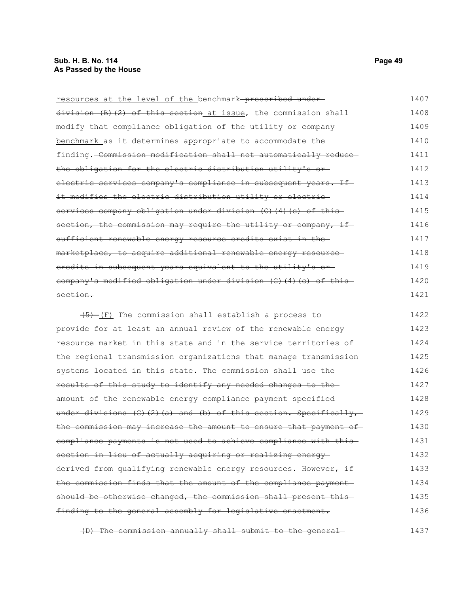| resources at the level of the benchmark-prescribed under-       | 1407 |
|-----------------------------------------------------------------|------|
| division (B)(2) of this section at issue, the commission shall  | 1408 |
| modify that compliance obligation of the utility or company     | 1409 |
| benchmark as it determines appropriate to accommodate the       | 1410 |
| finding. Commission modification shall not automatically reduce | 1411 |
| the obligation for the electric distribution utility's or-      | 1412 |
| electric services company's compliance in subsequent years. If  | 1413 |
| it modifies the electric distribution utility or electric-      | 1414 |
| services company obligation under division (C)(4)(c) of this    | 1415 |
| section, the commission may require the utility or company, if  | 1416 |
| sufficient renewable energy resource credits exist in the-      | 1417 |
| marketplace, to acquire additional renewable energy resource    | 1418 |
| eredits in subsequent years equivalent to the utility's or-     | 1419 |
| company's modified obligation under division (C)(4)(c) of this  | 1420 |
| section.                                                        | 1421 |

 $\frac{+5}{-1}$  The commission shall establish a process to provide for at least an annual review of the renewable energy resource market in this state and in the service territories of the regional transmission organizations that manage transmission systems located in this state. The commission shall use the results of this study to identify any needed changes to the amount of the renewable energy compliance payment specified under divisions (C)(2)(a) and (b) of this section. Specifically, the commission may increase the amount to ensure that payment of compliance payments is not used to achieve compliance with this section in lieu of actually acquiring or realizing energy derived from qualifying renewable energy resources. However, ifthe commission finds that the amount of the compliance payment should be otherwise changed, the commission shall present thisfinding to the general assembly for legislative enactment. 1422 1423 1424 1425 1426 1427 1428 1429 1430 1431 1432 1433 1434 1435 1436

(D) The commission annually shall submit to the general 1437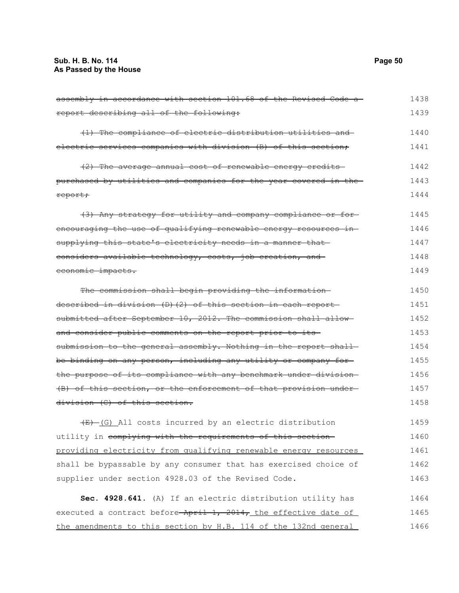assembly in accordance with section 101.68 of the Revised Code a report describing all of the following: (1) The compliance of electric distribution utilities and electric services companies with division (B) of this section; (2) The average annual cost of renewable energy credits purchased by utilities and companies for the year covered in the report; (3) Any strategy for utility and company compliance or for encouraging the use of qualifying renewable energy resources insupplying this state's electricity needs in a manner thatconsiders available technology, costs, job creation, and economic impacts. The commission shall begin providing the informationdescribed in division (D)(2) of this section in each report submitted after September 10, 2012. The commission shall allowand consider public comments on the report prior to its submission to the general assembly. Nothing in the report shallbe binding on any person, including any utility or company forthe purpose of its compliance with any benchmark under division-(B) of this section, or the enforcement of that provision under division (C) of this section.  $\overline{(E)}$  (G) All costs incurred by an electric distribution utility in complying with the requirements of this sectionproviding electricity from qualifying renewable energy resources shall be bypassable by any consumer that has exercised choice of supplier under section 4928.03 of the Revised Code. **Sec. 4928.641.** (A) If an electric distribution utility has executed a contract before April 1, 2014, the effective date of the amendments to this section by H.B. 114 of the 132nd general 1438 1439 1440 1441 1442 1443 1444 1445 1446 1447 1448 1449 1450 1451 1452 1453 1454 1455 1456 1457 1458 1459 1460 1461 1462 1463 1464 1465 1466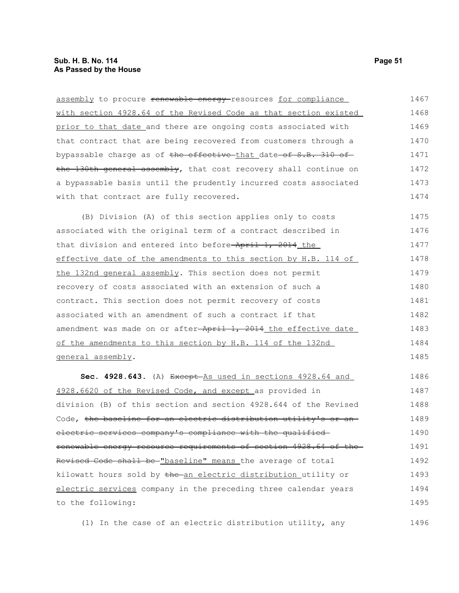| assembly to procure renewable energy-resources for compliance    | 1467 |
|------------------------------------------------------------------|------|
| with section 4928.64 of the Revised Code as that section existed | 1468 |
| prior to that date and there are ongoing costs associated with   | 1469 |
| that contract that are being recovered from customers through a  | 1470 |
| bypassable charge as of the effective that date of S.B. 310 of   | 1471 |
| the 130th general assembly, that cost recovery shall continue on | 1472 |
| a bypassable basis until the prudently incurred costs associated | 1473 |
| with that contract are fully recovered.                          | 1474 |
| (B) Division (A) of this section applies only to costs           | 1475 |
| associated with the original term of a contract described in     | 1476 |
| that division and entered into before-April 1, 2014 the          | 1477 |
| effective date of the amendments to this section by H.B. 114 of  | 1478 |
| the 132nd general assembly. This section does not permit         | 1479 |
| recovery of costs associated with an extension of such a         | 1480 |
| contract. This section does not permit recovery of costs         | 1481 |
| associated with an amendment of such a contract if that          | 1482 |
| amendment was made on or after-April 1, 2014 the effective date  | 1483 |
| of the amendments to this section by H.B. 114 of the 132nd       | 1484 |
| general assembly.                                                | 1485 |
| Sec. 4928.643. (A) Except As used in sections 4928.64 and        | 1486 |
| 4928.6620 of the Revised Code, and except as provided in         | 1487 |
| division (B) of this section and section 4928.644 of the Revised | 1488 |
| Code, the baseline for an electric distribution utility's or an- | 1489 |
| electric services company's compliance with the qualified-       | 1490 |
| renewable energy resource requirements of section 4928.64 of the | 1491 |
| Revised Code shall be-"baseline" means the average of total      | 1492 |
| kilowatt hours sold by the an electric distribution utility or   | 1493 |
| electric services company in the preceding three calendar years  | 1494 |
| to the following:                                                | 1495 |

(1) In the case of an electric distribution utility, any 1496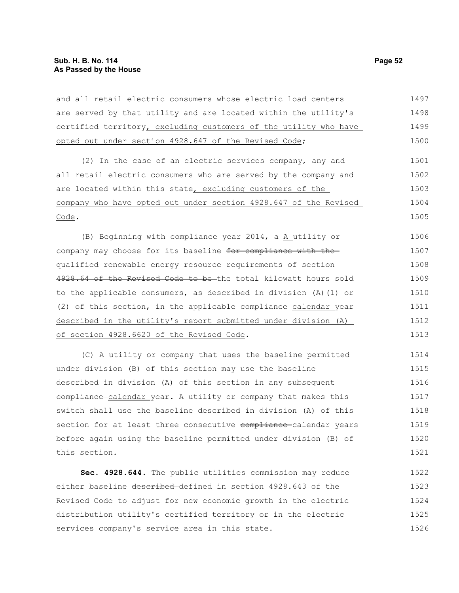and all retail electric consumers whose electric load centers are served by that utility and are located within the utility's certified territory, excluding customers of the utility who have opted out under section 4928.647 of the Revised Code; 1497 1498 1499 1500

(2) In the case of an electric services company, any and all retail electric consumers who are served by the company and are located within this state, excluding customers of the company who have opted out under section 4928.647 of the Revised Code. 1501 1502 1503 1504 1505

(B) Beginning with compliance year 2014, a A utility or company may choose for its baseline for compliance with the qualified renewable energy resource requirements of section 4928.64 of the Revised Code to be the total kilowatt hours sold to the applicable consumers, as described in division (A)(1) or (2) of this section, in the applicable compliance calendar year described in the utility's report submitted under division (A) of section 4928.6620 of the Revised Code. 1506 1507 1508 1509 1510 1511 1512 1513

(C) A utility or company that uses the baseline permitted under division (B) of this section may use the baseline described in division (A) of this section in any subsequent eompliance calendar year. A utility or company that makes this switch shall use the baseline described in division (A) of this section for at least three consecutive compliance calendar years before again using the baseline permitted under division (B) of this section. 1514 1515 1516 1517 1518 1519 1520 1521

**Sec. 4928.644.** The public utilities commission may reduce either baseline described-defined in section 4928.643 of the Revised Code to adjust for new economic growth in the electric distribution utility's certified territory or in the electric services company's service area in this state. 1522 1523 1524 1525 1526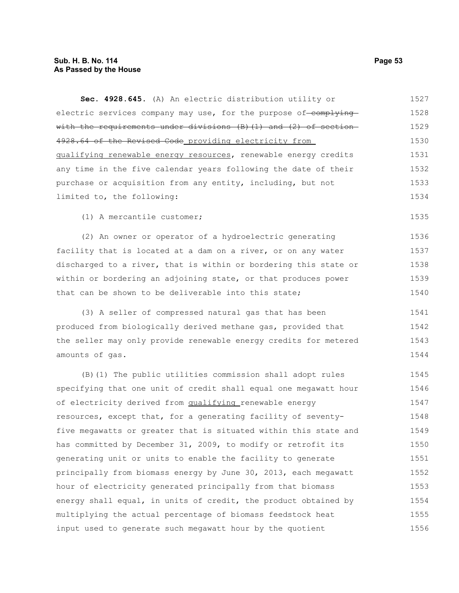**Sec. 4928.645.** (A) An electric distribution utility or electric services company may use, for the purpose of-complying with the requirements under divisions  $(B)$   $(1)$  and  $(2)$  of section 4928.64 of the Revised Code providing electricity from qualifying renewable energy resources, renewable energy credits any time in the five calendar years following the date of their purchase or acquisition from any entity, including, but not limited to, the following: (1) A mercantile customer; (2) An owner or operator of a hydroelectric generating facility that is located at a dam on a river, or on any water discharged to a river, that is within or bordering this state or within or bordering an adjoining state, or that produces power that can be shown to be deliverable into this state; (3) A seller of compressed natural gas that has been produced from biologically derived methane gas, provided that the seller may only provide renewable energy credits for metered amounts of gas. (B)(1) The public utilities commission shall adopt rules specifying that one unit of credit shall equal one megawatt hour of electricity derived from qualifying renewable energy resources, except that, for a generating facility of seventyfive megawatts or greater that is situated within this state and has committed by December 31, 2009, to modify or retrofit its generating unit or units to enable the facility to generate principally from biomass energy by June 30, 2013, each megawatt hour of electricity generated principally from that biomass energy shall equal, in units of credit, the product obtained by 1527 1528 1529 1530 1531 1532 1533 1534 1535 1536 1537 1538 1539 1540 1541 1542 1543 1544 1545 1546 1547 1548 1549 1550 1551 1552 1553 1554

multiplying the actual percentage of biomass feedstock heat input used to generate such megawatt hour by the quotient

1555 1556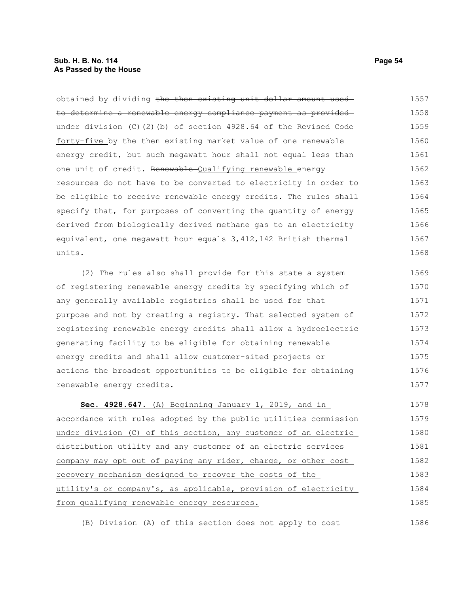obtained by dividing the then existing unit dollar amount used to determine a renewable energy compliance payment as provided under division (C)(2)(b) of section 4928.64 of the Revised Code forty-five by the then existing market value of one renewable energy credit, but such megawatt hour shall not equal less than one unit of credit. Renewable-Qualifying renewable energy resources do not have to be converted to electricity in order to be eligible to receive renewable energy credits. The rules shall specify that, for purposes of converting the quantity of energy derived from biologically derived methane gas to an electricity equivalent, one megawatt hour equals 3,412,142 British thermal units. (2) The rules also shall provide for this state a system of registering renewable energy credits by specifying which of any generally available registries shall be used for that purpose and not by creating a registry. That selected system of registering renewable energy credits shall allow a hydroelectric generating facility to be eligible for obtaining renewable 1557 1558 1559 1560 1561 1562 1563 1564 1565 1566 1567 1568 1569 1570 1571 1572 1573 1574

energy credits and shall allow customer-sited projects or actions the broadest opportunities to be eligible for obtaining renewable energy credits.

 **Sec. 4928.647.** (A) Beginning January 1, 2019, and in accordance with rules adopted by the public utilities commission under division (C) of this section, any customer of an electric distribution utility and any customer of an electric services company may opt out of paying any rider, charge, or other cost recovery mechanism designed to recover the costs of the utility's or company's, as applicable, provision of electricity from qualifying renewable energy resources. 1578 1579 1580 1581 1582 1583 1584 1585

(B) Division (A) of this section does not apply to cost

1575 1576 1577

1586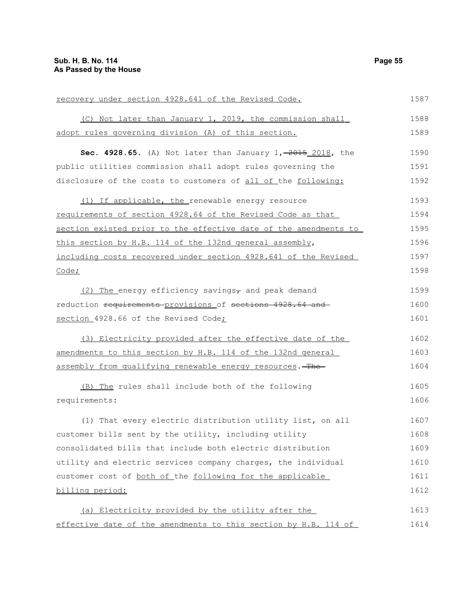| recovery under section 4928.641 of the Revised Code.                   | 1587 |
|------------------------------------------------------------------------|------|
| (C) Not later than January 1, 2019, the commission shall               | 1588 |
| adopt rules governing division (A) of this section.                    | 1589 |
| <b>Sec. 4928.65.</b> (A) Not later than January $1, -2015, 2018$ , the | 1590 |
| public utilities commission shall adopt rules governing the            | 1591 |
| disclosure of the costs to customers of all of the following:          | 1592 |
| (1) If applicable, the renewable energy resource                       | 1593 |
| requirements of section 4928.64 of the Revised Code as that            | 1594 |
| section existed prior to the effective date of the amendments to       | 1595 |
| this section by H.B. 114 of the 132nd general assembly,                | 1596 |
| including costs recovered under section 4928.641 of the Revised        | 1597 |
| Code;                                                                  | 1598 |
| $(2)$ The energy efficiency savings, and peak demand                   | 1599 |
| reduction requirements provisions of sections 4928.64 and              | 1600 |
| section 4928.66 of the Revised Code;                                   | 1601 |
| (3) Electricity provided after the effective date of the               | 1602 |
| amendments to this section by H.B. 114 of the 132nd general            | 1603 |
| assembly from qualifying renewable energy resources. The               | 1604 |
| (B) The rules shall include both of the following                      | 1605 |
| requirements:                                                          | 1606 |
| (1) That every electric distribution utility list, on all              | 1607 |
| customer bills sent by the utility, including utility                  | 1608 |
| consolidated bills that include both electric distribution             | 1609 |
| utility and electric services company charges, the individual          | 1610 |
| customer cost of both of the following for the applicable              | 1611 |
| billing period:                                                        | 1612 |
| (a) Electricity provided by the utility after the                      | 1613 |
| effective date of the amendments to this section by H.B. 114 of        | 1614 |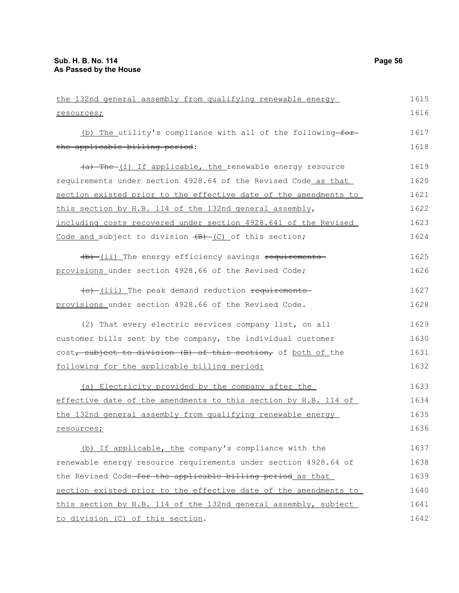the 132nd general assembly from qualifying renewable energy resources; (b) The utility's compliance with all of the following  $for$ the applicable billing period: (a) The (i) If applicable, the renewable energy resource requirements under section 4928.64 of the Revised Code as that section existed prior to the effective date of the amendments to this section by H.B. 114 of the 132nd general assembly, including costs recovered under section 4928.641 of the Revised Code and subject to division  $\overline{B}$  (C) of this section;  $(b)$  (ii) The energy efficiency savings requirements provisions under section 4928.66 of the Revised Code;  $(e)$  (iii) The peak demand reduction requirements provisions under section 4928.66 of the Revised Code. (2) That every electric services company list, on all customer bills sent by the company, the individual customer cost, subject to division (B) of this section, of both of the following for the applicable billing period: (a) Electricity provided by the company after the effective date of the amendments to this section by H.B. 114 of the 132nd general assembly from qualifying renewable energy resources; (b) If applicable, the company's compliance with the renewable energy resource requirements under section 4928.64 of the Revised Code for the applicable billing period as that section existed prior to the effective date of the amendments to this section by H.B. 114 of the 132nd general assembly, subject 1615 1616 1617 1618 1619 1620 1621 1622 1623 1624 1625 1626 1627 1628 1629 1630 1631 1632 1633 1634 1635 1636 1637 1638 1639 1640 1641 1642

to division (C) of this section.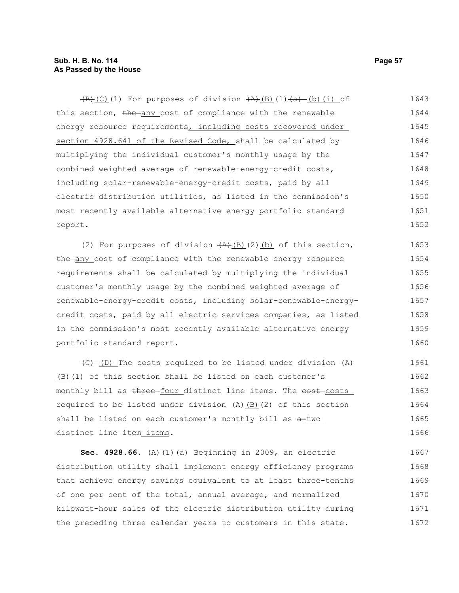# **Sub. H. B. No. 114 Page 57 As Passed by the House**

 $\overline{(B)(C)}$ (1) For purposes of division  $\overline{(A)(B)(1)}$ (1) $\overline{(a)}$  (b)(i) of this section, the any cost of compliance with the renewable energy resource requirements, including costs recovered under section 4928.641 of the Revised Code, shall be calculated by multiplying the individual customer's monthly usage by the combined weighted average of renewable-energy-credit costs, including solar-renewable-energy-credit costs, paid by all electric distribution utilities, as listed in the commission's most recently available alternative energy portfolio standard report. 1643 1644 1645 1646 1647 1648 1649 1650 1651 1652

(2) For purposes of division  $(A)$  (B)(2)(b) of this section, the any cost of compliance with the renewable energy resource requirements shall be calculated by multiplying the individual customer's monthly usage by the combined weighted average of renewable-energy-credit costs, including solar-renewable-energycredit costs, paid by all electric services companies, as listed in the commission's most recently available alternative energy portfolio standard report. 1653 1654 1655 1656 1657 1658 1659 1660

 $\overline{(C)$  (D) The costs required to be listed under division  $\overline{(A)}$ (B)(1) of this section shall be listed on each customer's monthly bill as three-four\_distinct line items. The cost-costs required to be listed under division  $(A)$  (B)(2) of this section shall be listed on each customer's monthly bill as  $a$ -two distinct line-item items. 1661 1662 1663 1664 1665 1666

**Sec. 4928.66.** (A)(1)(a) Beginning in 2009, an electric distribution utility shall implement energy efficiency programs that achieve energy savings equivalent to at least three-tenths of one per cent of the total, annual average, and normalized kilowatt-hour sales of the electric distribution utility during the preceding three calendar years to customers in this state. 1667 1668 1669 1670 1671 1672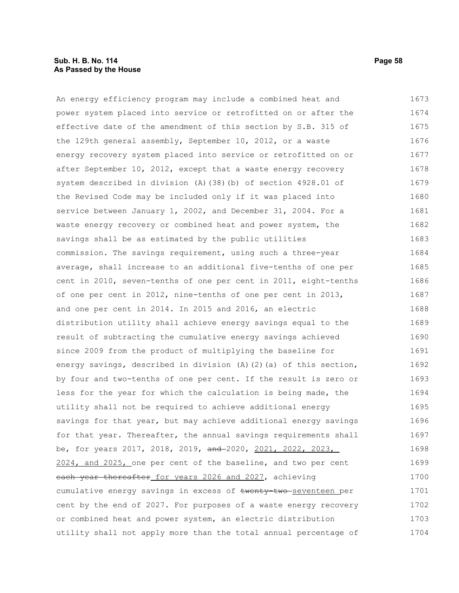# **Sub. H. B. No. 114 Page 58 As Passed by the House**

An energy efficiency program may include a combined heat and power system placed into service or retrofitted on or after the effective date of the amendment of this section by S.B. 315 of the 129th general assembly, September 10, 2012, or a waste energy recovery system placed into service or retrofitted on or after September 10, 2012, except that a waste energy recovery system described in division (A)(38)(b) of section 4928.01 of the Revised Code may be included only if it was placed into service between January 1, 2002, and December 31, 2004. For a waste energy recovery or combined heat and power system, the savings shall be as estimated by the public utilities commission. The savings requirement, using such a three-year average, shall increase to an additional five-tenths of one per cent in 2010, seven-tenths of one per cent in 2011, eight-tenths of one per cent in 2012, nine-tenths of one per cent in 2013, and one per cent in 2014. In 2015 and 2016, an electric distribution utility shall achieve energy savings equal to the result of subtracting the cumulative energy savings achieved since 2009 from the product of multiplying the baseline for energy savings, described in division (A)(2)(a) of this section, by four and two-tenths of one per cent. If the result is zero or less for the year for which the calculation is being made, the utility shall not be required to achieve additional energy savings for that year, but may achieve additional energy savings for that year. Thereafter, the annual savings requirements shall be, for years 2017, 2018, 2019, and 2020, 2021, 2022, 2023, 2024, and 2025, one per cent of the baseline, and two per cent each year thereafter for years 2026 and 2027, achieving cumulative energy savings in excess of twenty-two seventeen per cent by the end of 2027. For purposes of a waste energy recovery or combined heat and power system, an electric distribution utility shall not apply more than the total annual percentage of 1673 1674 1675 1676 1677 1678 1679 1680 1681 1682 1683 1684 1685 1686 1687 1688 1689 1690 1691 1692 1693 1694 1695 1696 1697 1698 1699 1700 1701 1702 1703 1704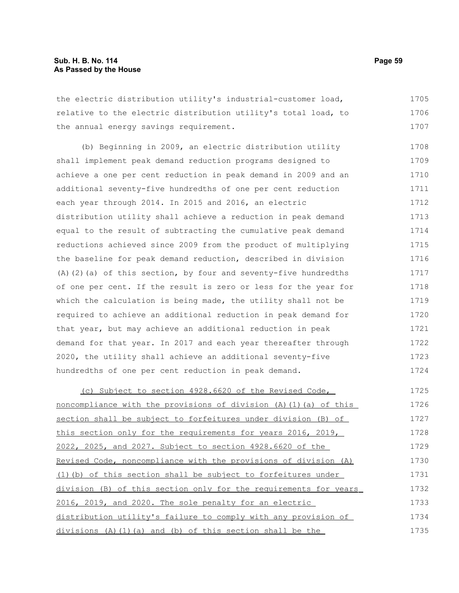the electric distribution utility's industrial-customer load, relative to the electric distribution utility's total load, to the annual energy savings requirement. 1705 1706 1707

(b) Beginning in 2009, an electric distribution utility shall implement peak demand reduction programs designed to achieve a one per cent reduction in peak demand in 2009 and an additional seventy-five hundredths of one per cent reduction each year through 2014. In 2015 and 2016, an electric distribution utility shall achieve a reduction in peak demand equal to the result of subtracting the cumulative peak demand reductions achieved since 2009 from the product of multiplying the baseline for peak demand reduction, described in division (A)(2)(a) of this section, by four and seventy-five hundredths of one per cent. If the result is zero or less for the year for which the calculation is being made, the utility shall not be required to achieve an additional reduction in peak demand for that year, but may achieve an additional reduction in peak demand for that year. In 2017 and each year thereafter through 2020, the utility shall achieve an additional seventy-five hundredths of one per cent reduction in peak demand. 1708 1709 1710 1711 1712 1713 1714 1715 1716 1717 1718 1719 1720 1721 1722 1723 1724

(c) Subject to section 4928.6620 of the Revised Code, noncompliance with the provisions of division (A)(1)(a) of this section shall be subject to forfeitures under division (B) of this section only for the requirements for years 2016, 2019, 2022, 2025, and 2027. Subject to section 4928.6620 of the Revised Code, noncompliance with the provisions of division (A) (1)(b) of this section shall be subject to forfeitures under division (B) of this section only for the requirements for years 2016, 2019, and 2020. The sole penalty for an electric distribution utility's failure to comply with any provision of divisions (A)(1)(a) and (b) of this section shall be the 1725 1726 1727 1728 1729 1730 1731 1732 1733 1734 1735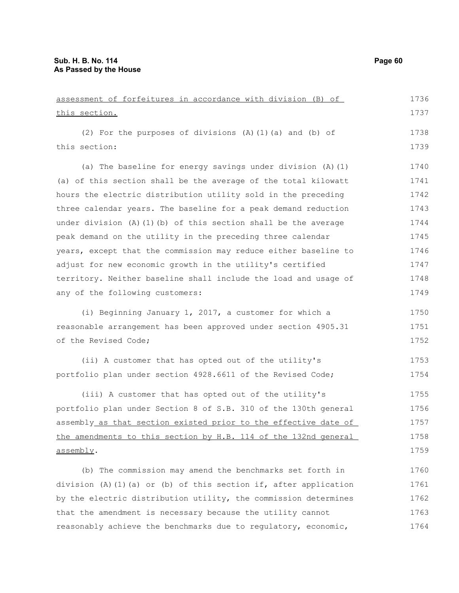1764

| assessment of forfeitures in accordance with division (B) of          | 1736 |
|-----------------------------------------------------------------------|------|
| this section.                                                         | 1737 |
| (2) For the purposes of divisions (A) (1) (a) and (b) of              | 1738 |
| this section:                                                         | 1739 |
|                                                                       |      |
| (a) The baseline for energy savings under division $(A)$ $(1)$        | 1740 |
| (a) of this section shall be the average of the total kilowatt        | 1741 |
| hours the electric distribution utility sold in the preceding         | 1742 |
| three calendar years. The baseline for a peak demand reduction        | 1743 |
| under division $(A)$ $(1)$ $(b)$ of this section shall be the average | 1744 |
| peak demand on the utility in the preceding three calendar            | 1745 |
| years, except that the commission may reduce either baseline to       | 1746 |
| adjust for new economic growth in the utility's certified             | 1747 |
| territory. Neither baseline shall include the load and usage of       | 1748 |
| any of the following customers:                                       | 1749 |
| (i) Beginning January 1, 2017, a customer for which a                 | 1750 |
| reasonable arrangement has been approved under section 4905.31        | 1751 |
| of the Revised Code;                                                  | 1752 |
| (ii) A customer that has opted out of the utility's                   | 1753 |
| portfolio plan under section 4928.6611 of the Revised Code;           | 1754 |
| (iii) A customer that has opted out of the utility's                  | 1755 |
| portfolio plan under Section 8 of S.B. 310 of the 130th general       | 1756 |
| assembly as that section existed prior to the effective date of       | 1757 |
| the amendments to this section by H.B. 114 of the 132nd general       | 1758 |
| assembly.                                                             | 1759 |
| (b) The commission may amend the benchmarks set forth in              | 1760 |
| division (A)(1)(a) or (b) of this section if, after application       | 1761 |
| by the electric distribution utility, the commission determines       | 1762 |
| that the amendment is necessary because the utility cannot            | 1763 |
|                                                                       |      |

reasonably achieve the benchmarks due to regulatory, economic,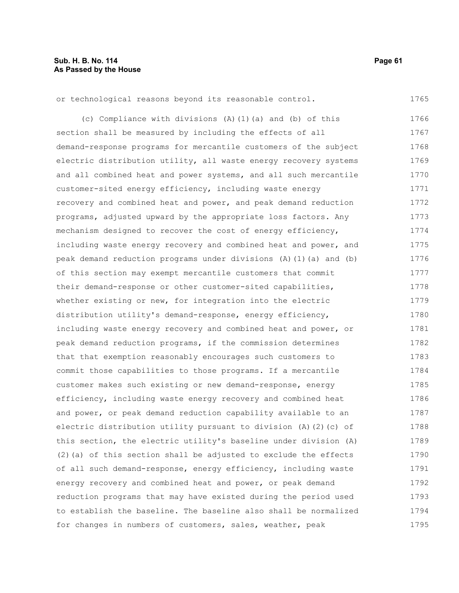| or technological reasons beyond its reasonable control.            | 1765 |
|--------------------------------------------------------------------|------|
| (c) Compliance with divisions (A) (1) (a) and (b) of this          | 1766 |
| section shall be measured by including the effects of all          | 1767 |
| demand-response programs for mercantile customers of the subject   | 1768 |
| electric distribution utility, all waste energy recovery systems   | 1769 |
| and all combined heat and power systems, and all such mercantile   | 1770 |
| customer-sited energy efficiency, including waste energy           | 1771 |
| recovery and combined heat and power, and peak demand reduction    | 1772 |
| programs, adjusted upward by the appropriate loss factors. Any     | 1773 |
| mechanism designed to recover the cost of energy efficiency,       | 1774 |
| including waste energy recovery and combined heat and power, and   | 1775 |
| peak demand reduction programs under divisions (A) (1) (a) and (b) | 1776 |
| of this section may exempt mercantile customers that commit        | 1777 |
| their demand-response or other customer-sited capabilities,        | 1778 |
| whether existing or new, for integration into the electric         | 1779 |
| distribution utility's demand-response, energy efficiency,         | 1780 |
| including waste energy recovery and combined heat and power, or    | 1781 |
| peak demand reduction programs, if the commission determines       | 1782 |
| that that exemption reasonably encourages such customers to        | 1783 |
| commit those capabilities to those programs. If a mercantile       | 1784 |
| customer makes such existing or new demand-response, energy        | 1785 |
| efficiency, including waste energy recovery and combined heat      | 1786 |
| and power, or peak demand reduction capability available to an     | 1787 |
| electric distribution utility pursuant to division (A)(2)(c) of    | 1788 |
| this section, the electric utility's baseline under division (A)   | 1789 |
| (2) (a) of this section shall be adjusted to exclude the effects   | 1790 |
| of all such demand-response, energy efficiency, including waste    | 1791 |
| energy recovery and combined heat and power, or peak demand        | 1792 |
| reduction programs that may have existed during the period used    | 1793 |
| to establish the baseline. The baseline also shall be normalized   | 1794 |
| for changes in numbers of customers, sales, weather, peak          | 1795 |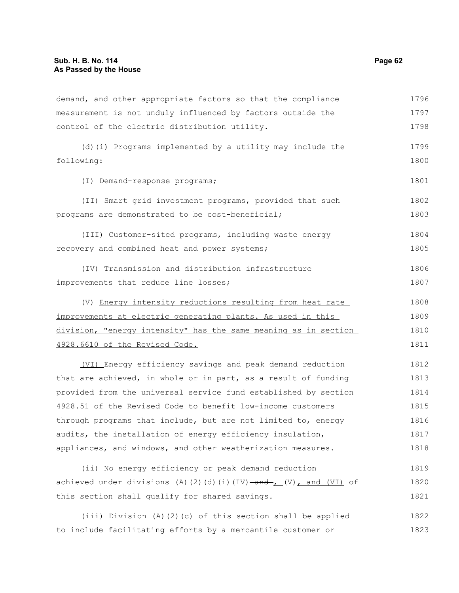demand, and other appropriate factors so that the compliance measurement is not unduly influenced by factors outside the control of the electric distribution utility. (d)(i) Programs implemented by a utility may include the following: (I) Demand-response programs; (II) Smart grid investment programs, provided that such programs are demonstrated to be cost-beneficial; (III) Customer-sited programs, including waste energy recovery and combined heat and power systems; (IV) Transmission and distribution infrastructure improvements that reduce line losses; (V) Energy intensity reductions resulting from heat rate improvements at electric generating plants. As used in this division, "energy intensity" has the same meaning as in section 4928.6610 of the Revised Code. (VI) Energy efficiency savings and peak demand reduction that are achieved, in whole or in part, as a result of funding provided from the universal service fund established by section 4928.51 of the Revised Code to benefit low-income customers through programs that include, but are not limited to, energy audits, the installation of energy efficiency insulation, appliances, and windows, and other weatherization measures. (ii) No energy efficiency or peak demand reduction achieved under divisions (A)(2)(d)(i)(IV)  $\rightarrow$  and  $\rightarrow$  (V), and (VI) of 1796 1797 1798 1799 1800 1801 1802 1803 1804 1805 1806 1807 1808 1809 1810 1811 1812 1813 1814 1815 1816 1817 1818 1819 1820

(iii) Division (A)(2)(c) of this section shall be applied to include facilitating efforts by a mercantile customer or 1822 1823

this section shall qualify for shared savings.

1821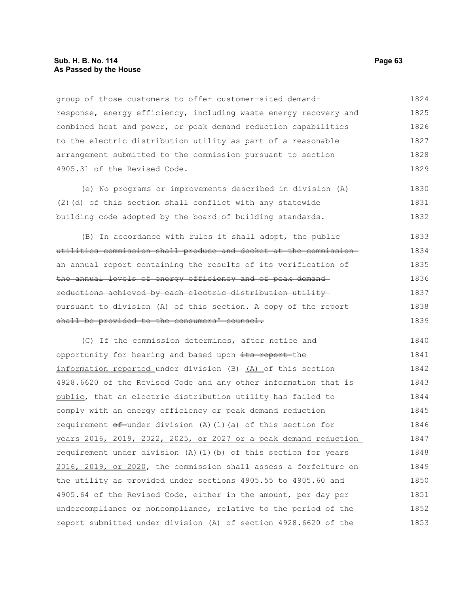group of those customers to offer customer-sited demandresponse, energy efficiency, including waste energy recovery and combined heat and power, or peak demand reduction capabilities to the electric distribution utility as part of a reasonable arrangement submitted to the commission pursuant to section 4905.31 of the Revised Code. 1824 1825 1826 1827 1828 1829

(e) No programs or improvements described in division (A) (2)(d) of this section shall conflict with any statewide building code adopted by the board of building standards. 1830 1831 1832

 $(B)$  In accordance with rules it shall adopt, the publicutilities commission shall produce and docket at the commission an annual report containing the results of its verification of the annual levels of energy efficiency and of peak demand reductions achieved by each electric distribution utility pursuant to division (A) of this section. A copy of the report shall be provided to the consumers' counsel. 1833 1834 1835 1836 1837 1838 1839

(C) If the commission determines, after notice and opportunity for hearing and based upon its report the information reported under division (B) (A) of this section 4928.6620 of the Revised Code and any other information that is public, that an electric distribution utility has failed to comply with an energy efficiency or peak demand reductionrequirement  $\sigma f$ -under division (A)(1)(a) of this section for years 2016, 2019, 2022, 2025, or 2027 or a peak demand reduction requirement under division (A)(1)(b) of this section for years 2016, 2019, or 2020, the commission shall assess a forfeiture on the utility as provided under sections 4905.55 to 4905.60 and 4905.64 of the Revised Code, either in the amount, per day per undercompliance or noncompliance, relative to the period of the report submitted under division (A) of section 4928.6620 of the 1840 1841 1842 1843 1844 1845 1846 1847 1848 1849 1850 1851 1852 1853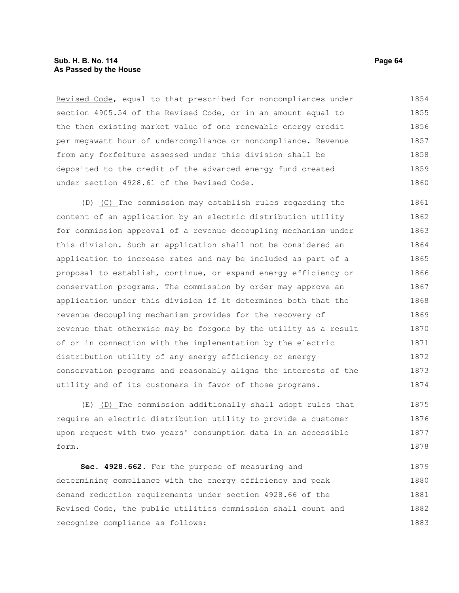# **Sub. H. B. No. 114 Page 64 As Passed by the House**

Revised Code, equal to that prescribed for noncompliances under section 4905.54 of the Revised Code, or in an amount equal to the then existing market value of one renewable energy credit per megawatt hour of undercompliance or noncompliance. Revenue from any forfeiture assessed under this division shall be deposited to the credit of the advanced energy fund created under section 4928.61 of the Revised Code. 1854 1855 1856 1857 1858 1859 1860

 $(D)$  (C) The commission may establish rules regarding the content of an application by an electric distribution utility for commission approval of a revenue decoupling mechanism under this division. Such an application shall not be considered an application to increase rates and may be included as part of a proposal to establish, continue, or expand energy efficiency or conservation programs. The commission by order may approve an application under this division if it determines both that the revenue decoupling mechanism provides for the recovery of revenue that otherwise may be forgone by the utility as a result of or in connection with the implementation by the electric distribution utility of any energy efficiency or energy conservation programs and reasonably aligns the interests of the utility and of its customers in favor of those programs. 1861 1862 1863 1864 1865 1866 1867 1868 1869 1870 1871 1872 1873 1874

 $(E)$  (D) The commission additionally shall adopt rules that require an electric distribution utility to provide a customer upon request with two years' consumption data in an accessible form. 1875 1876 1877 1878

**Sec. 4928.662.** For the purpose of measuring and determining compliance with the energy efficiency and peak demand reduction requirements under section 4928.66 of the Revised Code, the public utilities commission shall count and recognize compliance as follows: 1879 1880 1881 1882 1883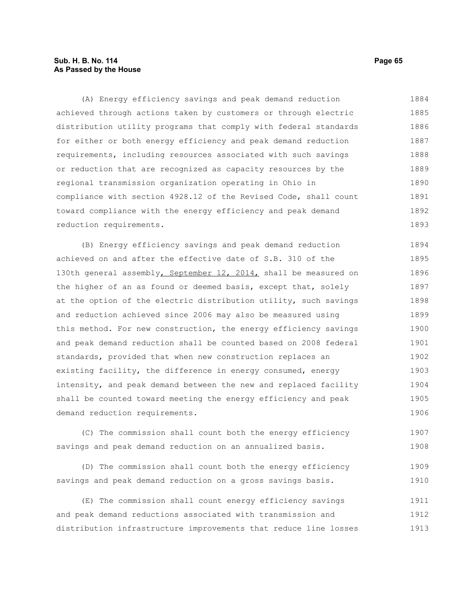# **Sub. H. B. No. 114 Page 65 As Passed by the House**

(A) Energy efficiency savings and peak demand reduction achieved through actions taken by customers or through electric distribution utility programs that comply with federal standards for either or both energy efficiency and peak demand reduction requirements, including resources associated with such savings or reduction that are recognized as capacity resources by the regional transmission organization operating in Ohio in compliance with section 4928.12 of the Revised Code, shall count toward compliance with the energy efficiency and peak demand reduction requirements. 1884 1885 1886 1887 1888 1889 1890 1891 1892 1893

(B) Energy efficiency savings and peak demand reduction achieved on and after the effective date of S.B. 310 of the 130th general assembly, September 12, 2014, shall be measured on the higher of an as found or deemed basis, except that, solely at the option of the electric distribution utility, such savings and reduction achieved since 2006 may also be measured using this method. For new construction, the energy efficiency savings and peak demand reduction shall be counted based on 2008 federal standards, provided that when new construction replaces an existing facility, the difference in energy consumed, energy intensity, and peak demand between the new and replaced facility shall be counted toward meeting the energy efficiency and peak demand reduction requirements. 1894 1895 1896 1897 1898 1899 1900 1901 1902 1903 1904 1905 1906

(C) The commission shall count both the energy efficiency savings and peak demand reduction on an annualized basis. 1907 1908

(D) The commission shall count both the energy efficiency savings and peak demand reduction on a gross savings basis. 1909 1910

(E) The commission shall count energy efficiency savings and peak demand reductions associated with transmission and distribution infrastructure improvements that reduce line losses 1911 1912 1913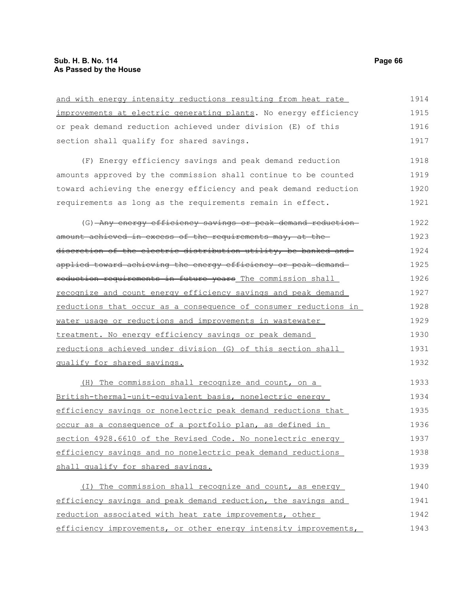and with energy intensity reductions resulting from heat rate improvements at electric generating plants. No energy efficiency or peak demand reduction achieved under division (E) of this section shall qualify for shared savings. (F) Energy efficiency savings and peak demand reduction amounts approved by the commission shall continue to be counted toward achieving the energy efficiency and peak demand reduction requirements as long as the requirements remain in effect. (G) Any energy efficiency savings or peak demand reduction amount achieved in excess of the requirements may, at the discretion of the electric distribution utility, be banked and applied toward achieving the energy efficiency or peak demand reduction requirements in future years The commission shall recognize and count energy efficiency savings and peak demand reductions that occur as a consequence of consumer reductions in water usage or reductions and improvements in wastewater treatment. No energy efficiency savings or peak demand reductions achieved under division (G) of this section shall qualify for shared savings. (H) The commission shall recognize and count, on a British-thermal-unit-equivalent basis, nonelectric energy efficiency savings or nonelectric peak demand reductions that occur as a consequence of a portfolio plan, as defined in section 4928.6610 of the Revised Code. No nonelectric energy efficiency savings and no nonelectric peak demand reductions shall qualify for shared savings. (I) The commission shall recognize and count, as energy efficiency savings and peak demand reduction, the savings and 1914 1915 1916 1917 1918 1919 1920 1921 1922 1923 1924 1925 1926 1927 1928 1929 1930 1931 1932 1933 1934 1935 1936 1937 1938 1939 1940 1941

reduction associated with heat rate improvements, other efficiency improvements, or other energy intensity improvements, 1942 1943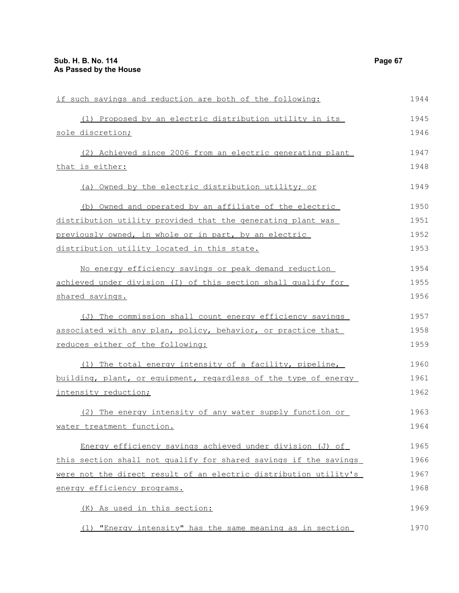| if such savings and reduction are both of the following:         | 1944 |
|------------------------------------------------------------------|------|
| (1) Proposed by an electric distribution utility in its          | 1945 |
| sole discretion;                                                 | 1946 |
| (2) Achieved since 2006 from an electric generating plant        | 1947 |
| that is either:                                                  | 1948 |
| (a) Owned by the electric distribution utility; or               | 1949 |
| (b) Owned and operated by an affiliate of the electric           | 1950 |
| distribution utility provided that the generating plant was      | 1951 |
| previously owned, in whole or in part, by an electric            | 1952 |
| distribution utility located in this state.                      | 1953 |
| No energy efficiency savings or peak demand reduction            | 1954 |
| achieved under division (I) of this section shall qualify for    | 1955 |
| shared savings.                                                  | 1956 |
| (J) The commission shall count energy efficiency savings         | 1957 |
| associated with any plan, policy, behavior, or practice that     | 1958 |
| reduces either of the following:                                 | 1959 |
| (1) The total energy intensity of a facility, pipeline,          | 1960 |
| building, plant, or equipment, regardless of the type of energy  | 1961 |
| intensity reduction;                                             | 1962 |
| (2) The energy intensity of any water supply function or         | 1963 |
| water treatment function.                                        | 1964 |
| Energy efficiency savings achieved under division (J) of         | 1965 |
| this section shall not qualify for shared savings if the savings | 1966 |
| were not the direct result of an electric distribution utility's | 1967 |
| energy efficiency programs.                                      | 1968 |
| (K) As used in this section:                                     | 1969 |
| (1) "Energy intensity" has the same meaning as in section        | 1970 |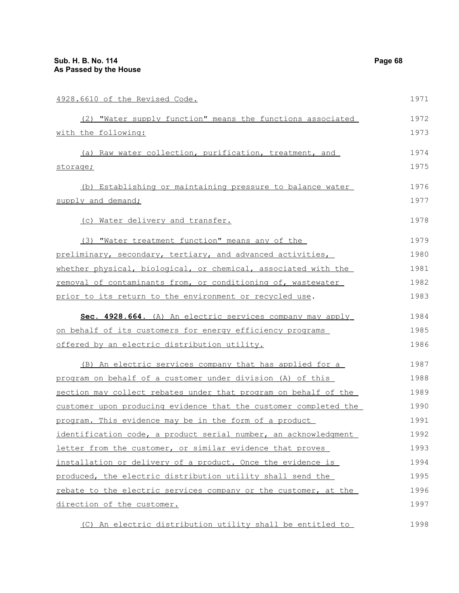| 4928.6610 of the Revised Code.                                   | 1971 |
|------------------------------------------------------------------|------|
| (2) "Water supply function" means the functions associated       | 1972 |
| with the following:                                              | 1973 |
| (a) Raw water collection, purification, treatment, and           | 1974 |
| storage;                                                         | 1975 |
| (b) Establishing or maintaining pressure to balance water        | 1976 |
| supply and demand;                                               | 1977 |
| (c) Water delivery and transfer.                                 | 1978 |
| (3) "Water treatment function" means any of the                  | 1979 |
| preliminary, secondary, tertiary, and advanced activities,       | 1980 |
| whether physical, biological, or chemical, associated with the   | 1981 |
| removal of contaminants from, or conditioning of, wastewater     | 1982 |
| prior to its return to the environment or recycled use.          | 1983 |
| Sec. 4928.664. (A) An electric services company may apply        | 1984 |
| on behalf of its customers for energy efficiency programs        | 1985 |
| offered by an electric distribution utility.                     | 1986 |
| (B) An electric services company that has applied for a          | 1987 |
| program on behalf of a customer under division (A) of this       | 1988 |
| section may collect rebates under that program on behalf of the  | 1989 |
| customer upon producing evidence that the customer completed the | 1990 |
| program. This evidence may be in the form of a product           | 1991 |
| identification code, a product serial number, an acknowledgment  | 1992 |
| letter from the customer, or similar evidence that proves        | 1993 |
| installation or delivery of a product. Once the evidence is      | 1994 |
| produced, the electric distribution utility shall send the       | 1995 |
| rebate to the electric services company or the customer, at the  | 1996 |
| direction of the customer.                                       | 1997 |
| (C) An electric distribution utility shall be entitled to        | 1998 |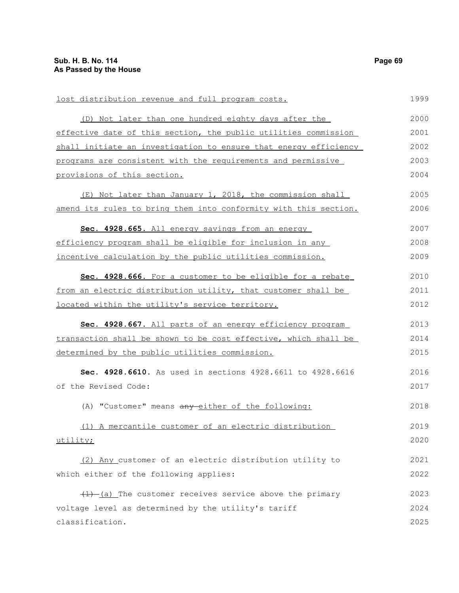lost distribution revenue and full program costs. (D) Not later than one hundred eighty days after the effective date of this section, the public utilities commission shall initiate an investigation to ensure that energy efficiency programs are consistent with the requirements and permissive provisions of this section. (E) Not later than January 1, 2018, the commission shall amend its rules to bring them into conformity with this section. **Sec. 4928.665.** All energy savings from an energy efficiency program shall be eligible for inclusion in any incentive calculation by the public utilities commission. **Sec. 4928.666.** For a customer to be eligible for a rebate from an electric distribution utility, that customer shall be located within the utility's service territory. **Sec. 4928.667.** All parts of an energy efficiency program transaction shall be shown to be cost effective, which shall be determined by the public utilities commission. **Sec. 4928.6610.** As used in sections 4928.6611 to 4928.6616 of the Revised Code: (A) "Customer" means any either of the following: (1) A mercantile customer of an electric distribution utility; (2) Any customer of an electric distribution utility to which either of the following applies:  $(1)$  (a) The customer receives service above the primary voltage level as determined by the utility's tariff classification. 1999 2000 2001 2002 2003 2004 2005 2006 2007 2008 2009 2010 2011 2012 2013 2014 2015 2016 2017 2018 2019 2020 2021 2022 2023 2024 2025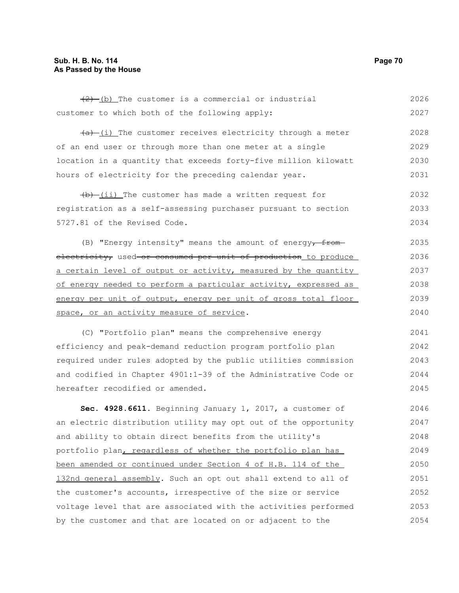$(2)$  (b) The customer is a commercial or industrial customer to which both of the following apply:  $(a)$  (i) The customer receives electricity through a meter of an end user or through more than one meter at a single location in a quantity that exceeds forty-five million kilowatt hours of electricity for the preceding calendar year.  $(b)$  (ii) The customer has made a written request for registration as a self-assessing purchaser pursuant to section 5727.81 of the Revised Code. (B) "Energy intensity" means the amount of energy $\frac{1}{r}$ electricity, used or consumed per unit of production to produce a certain level of output or activity, measured by the quantity of energy needed to perform a particular activity, expressed as energy per unit of output, energy per unit of gross total floor space, or an activity measure of service. (C) "Portfolio plan" means the comprehensive energy efficiency and peak-demand reduction program portfolio plan required under rules adopted by the public utilities commission and codified in Chapter 4901:1-39 of the Administrative Code or hereafter recodified or amended. **Sec. 4928.6611.** Beginning January 1, 2017, a customer of an electric distribution utility may opt out of the opportunity and ability to obtain direct benefits from the utility's portfolio plan, regardless of whether the portfolio plan has been amended or continued under Section 4 of H.B. 114 of the 132nd general assembly. Such an opt out shall extend to all of the customer's accounts, irrespective of the size or service voltage level that are associated with the activities performed by the customer and that are located on or adjacent to the 2026 2027 2028 2029 2030 2031 2032 2033 2034 2035 2036 2037 2038 2039 2040 2041 2042 2043 2044 2045 2046 2047 2048 2049 2050 2051 2052 2053 2054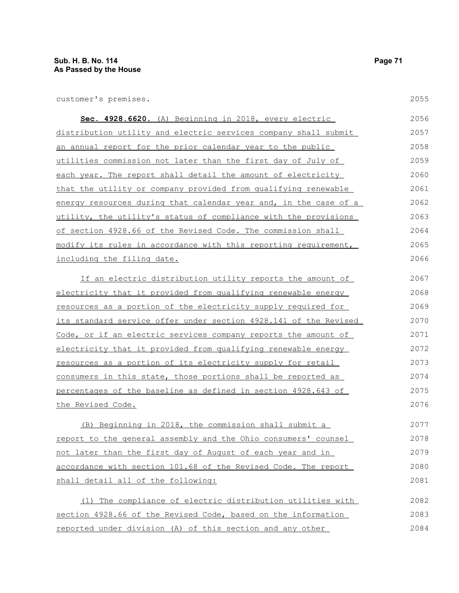customer's premises.

2055

| Sec. 4928.6620. (A) Beginning in 2018, every electric            | 2056 |
|------------------------------------------------------------------|------|
| distribution utility and electric services company shall submit  | 2057 |
| an annual report for the prior calendar year to the public       | 2058 |
| utilities commission not later than the first day of July of     | 2059 |
| each year. The report shall detail the amount of electricity     | 2060 |
| that the utility or company provided from qualifying renewable   | 2061 |
| energy resources during that calendar year and, in the case of a | 2062 |
| utility, the utility's status of compliance with the provisions  | 2063 |
| of section 4928.66 of the Revised Code. The commission shall     | 2064 |
| modify its rules in accordance with this reporting requirement,  | 2065 |
| including the filing date.                                       | 2066 |
| If an electric distribution utility reports the amount of        | 2067 |
| electricity that it provided from qualifying renewable energy    | 2068 |
| resources as a portion of the electricity supply required for    | 2069 |
| its standard service offer under section 4928.141 of the Revised | 2070 |
| Code, or if an electric services company reports the amount of   | 2071 |
| electricity that it provided from qualifying renewable energy    | 2072 |
| resources as a portion of its electricity supply for retail      | 2073 |
| consumers in this state, those portions shall be reported as     | 2074 |
| percentages of the baseline as defined in section 4928.643 of    | 2075 |
| <u>the Revised Code.</u>                                         | 2076 |
| (B) Beginning in 2018, the commission shall submit a             | 2077 |
| report to the general assembly and the Ohio consumers' counsel   | 2078 |
| not later than the first day of August of each year and in       | 2079 |
| accordance with section 101.68 of the Revised Code. The report   | 2080 |
| shall detail all of the following:                               | 2081 |
| (1) The compliance of electric distribution utilities with       | 2082 |
| section 4928.66 of the Revised Code, based on the information    | 2083 |
| reported under division (A) of this section and any other        | 2084 |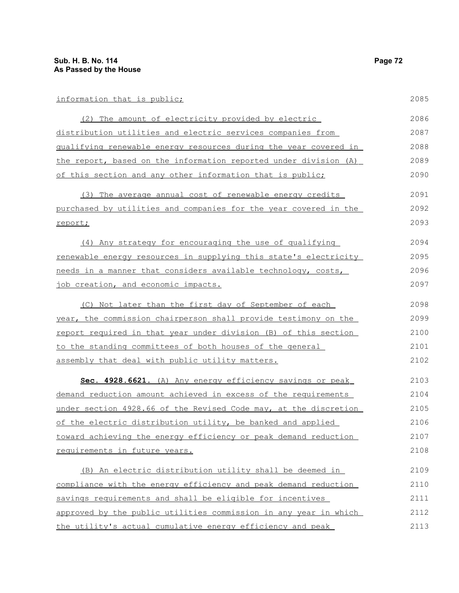| information that is public;                                      | 2085 |
|------------------------------------------------------------------|------|
| (2) The amount of electricity provided by electric               | 2086 |
| distribution utilities and electric services companies from      | 2087 |
| qualifying renewable energy resources during the year covered in | 2088 |
| the report, based on the information reported under division (A) | 2089 |
| of this section and any other information that is public;        | 2090 |
| (3) The average annual cost of renewable energy credits          | 2091 |
| purchased by utilities and companies for the year covered in the | 2092 |
| report;                                                          | 2093 |
| (4) Any strategy for encouraging the use of qualifying           | 2094 |
| renewable energy resources in supplying this state's electricity | 2095 |
| needs in a manner that considers available technology, costs,    | 2096 |
| job creation, and economic impacts.                              | 2097 |
| (C) Not later than the first day of September of each            | 2098 |
| year, the commission chairperson shall provide testimony on the  | 2099 |
| report required in that year under division (B) of this section  | 2100 |
| to the standing committees of both houses of the general         | 2101 |
| assembly that deal with public utility matters.                  | 2102 |
| Sec. 4928.6621. (A) Any energy efficiency savings or peak        | 2103 |
| demand reduction amount achieved in excess of the requirements   | 2104 |
| under section 4928.66 of the Revised Code may, at the discretion | 2105 |
| of the electric distribution utility, be banked and applied      | 2106 |
| toward achieving the energy efficiency or peak demand reduction  | 2107 |
| requirements in future years.                                    | 2108 |
| (B) An electric distribution utility shall be deemed in          | 2109 |
| compliance with the energy efficiency and peak demand reduction  | 2110 |
| savings requirements and shall be eligible for incentives        | 2111 |
| approved by the public utilities commission in any year in which | 2112 |
| the utility's actual cumulative energy efficiency and peak       | 2113 |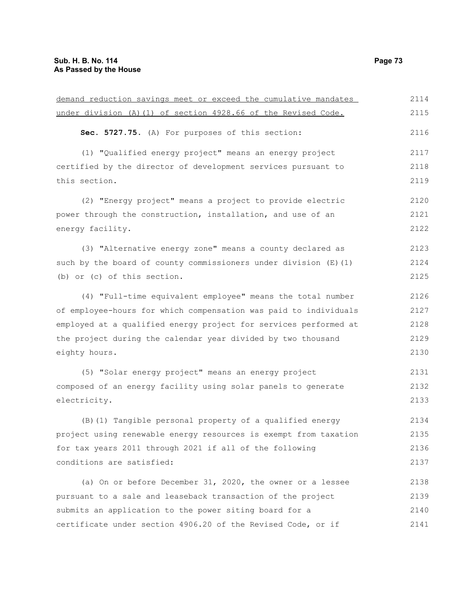| demand reduction savings meet or exceed the cumulative mandates  | 2114 |
|------------------------------------------------------------------|------|
| under division (A) (1) of section 4928.66 of the Revised Code.   | 2115 |
| Sec. 5727.75. (A) For purposes of this section:                  | 2116 |
| (1) "Qualified energy project" means an energy project           | 2117 |
| certified by the director of development services pursuant to    | 2118 |
| this section.                                                    | 2119 |
| (2) "Energy project" means a project to provide electric         | 2120 |
| power through the construction, installation, and use of an      | 2121 |
| energy facility.                                                 | 2122 |
| (3) "Alternative energy zone" means a county declared as         | 2123 |
| such by the board of county commissioners under division (E) (1) | 2124 |
| (b) or (c) of this section.                                      | 2125 |
| (4) "Full-time equivalent employee" means the total number       | 2126 |
| of employee-hours for which compensation was paid to individuals | 2127 |
| employed at a qualified energy project for services performed at | 2128 |
| the project during the calendar year divided by two thousand     | 2129 |
| eighty hours.                                                    | 2130 |
| (5) "Solar energy project" means an energy project               | 2131 |
| composed of an energy facility using solar panels to generate    | 2132 |
| electricity.                                                     | 2133 |
| (B) (1) Tangible personal property of a qualified energy         | 2134 |
| project using renewable energy resources is exempt from taxation | 2135 |
| for tax years 2011 through 2021 if all of the following          | 2136 |
| conditions are satisfied:                                        | 2137 |
| (a) On or before December 31, 2020, the owner or a lessee        | 2138 |
| pursuant to a sale and leaseback transaction of the project      | 2139 |
| submits an application to the power siting board for a           | 2140 |
| certificate under section 4906.20 of the Revised Code, or if     | 2141 |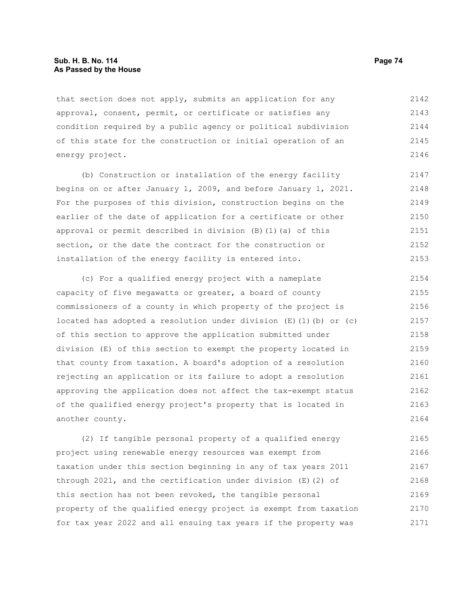#### **Sub. H. B. No. 114 Page 74 As Passed by the House**

that section does not apply, submits an application for any approval, consent, permit, or certificate or satisfies any condition required by a public agency or political subdivision of this state for the construction or initial operation of an energy project. 2142 2143 2144 2145 2146

(b) Construction or installation of the energy facility begins on or after January 1, 2009, and before January 1, 2021. For the purposes of this division, construction begins on the earlier of the date of application for a certificate or other approval or permit described in division (B)(1)(a) of this section, or the date the contract for the construction or installation of the energy facility is entered into. 2147 2148 2149 2150 2151 2152 2153

(c) For a qualified energy project with a nameplate capacity of five megawatts or greater, a board of county commissioners of a county in which property of the project is located has adopted a resolution under division  $(E)$  (1)(b) or (c) of this section to approve the application submitted under division (E) of this section to exempt the property located in that county from taxation. A board's adoption of a resolution rejecting an application or its failure to adopt a resolution approving the application does not affect the tax-exempt status of the qualified energy project's property that is located in another county. 2154 2155 2156 2157 2158 2159 2160 2161 2162 2163 2164

(2) If tangible personal property of a qualified energy project using renewable energy resources was exempt from taxation under this section beginning in any of tax years 2011 through 2021, and the certification under division (E)(2) of this section has not been revoked, the tangible personal property of the qualified energy project is exempt from taxation for tax year 2022 and all ensuing tax years if the property was 2165 2166 2167 2168 2169 2170 2171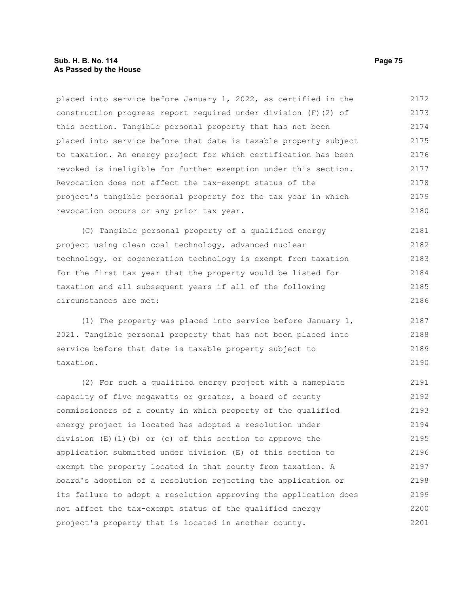# **Sub. H. B. No. 114 Page 75 As Passed by the House**

placed into service before January 1, 2022, as certified in the construction progress report required under division (F)(2) of this section. Tangible personal property that has not been placed into service before that date is taxable property subject to taxation. An energy project for which certification has been revoked is ineligible for further exemption under this section. Revocation does not affect the tax-exempt status of the project's tangible personal property for the tax year in which revocation occurs or any prior tax year. 2172 2173 2174 2175 2176 2177 2178 2179 2180

(C) Tangible personal property of a qualified energy project using clean coal technology, advanced nuclear technology, or cogeneration technology is exempt from taxation for the first tax year that the property would be listed for taxation and all subsequent years if all of the following circumstances are met: 2181 2182 2183 2184 2185 2186

(1) The property was placed into service before January 1, 2021. Tangible personal property that has not been placed into service before that date is taxable property subject to taxation. 2187 2188 2189 2190

(2) For such a qualified energy project with a nameplate capacity of five megawatts or greater, a board of county commissioners of a county in which property of the qualified energy project is located has adopted a resolution under division  $(E)(1)(b)$  or (c) of this section to approve the application submitted under division (E) of this section to exempt the property located in that county from taxation. A board's adoption of a resolution rejecting the application or its failure to adopt a resolution approving the application does not affect the tax-exempt status of the qualified energy project's property that is located in another county. 2191 2192 2193 2194 2195 2196 2197 2198 2199 2200 2201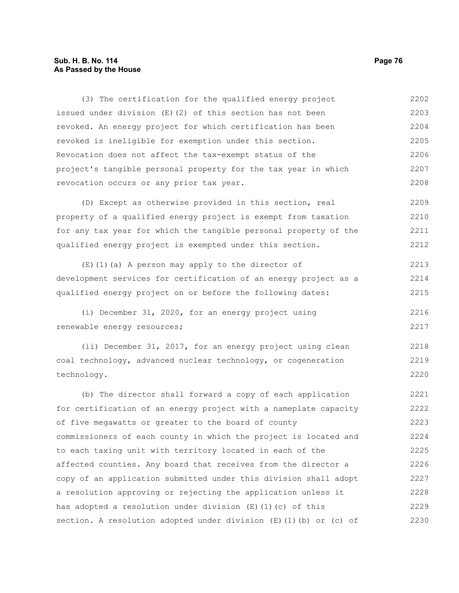# **Sub. H. B. No. 114 Page 76 As Passed by the House**

(3) The certification for the qualified energy project issued under division (E)(2) of this section has not been revoked. An energy project for which certification has been revoked is ineligible for exemption under this section. Revocation does not affect the tax-exempt status of the project's tangible personal property for the tax year in which revocation occurs or any prior tax year. 2202 2203 2204 2205 2206 2207 2208

(D) Except as otherwise provided in this section, real property of a qualified energy project is exempt from taxation for any tax year for which the tangible personal property of the qualified energy project is exempted under this section. 2209 2210 2211 2212

(E)(1)(a) A person may apply to the director of development services for certification of an energy project as a qualified energy project on or before the following dates: 2213 2214 2215

(i) December 31, 2020, for an energy project using renewable energy resources;

(ii) December 31, 2017, for an energy project using clean coal technology, advanced nuclear technology, or cogeneration technology. 2218 2219 2220

(b) The director shall forward a copy of each application for certification of an energy project with a nameplate capacity of five megawatts or greater to the board of county commissioners of each county in which the project is located and to each taxing unit with territory located in each of the affected counties. Any board that receives from the director a copy of an application submitted under this division shall adopt a resolution approving or rejecting the application unless it has adopted a resolution under division (E)(1)(c) of this section. A resolution adopted under division  $(E)$  (1)(b) or (c) of 2221 2222 2223 2224 2225 2226 2227 2228 2229 2230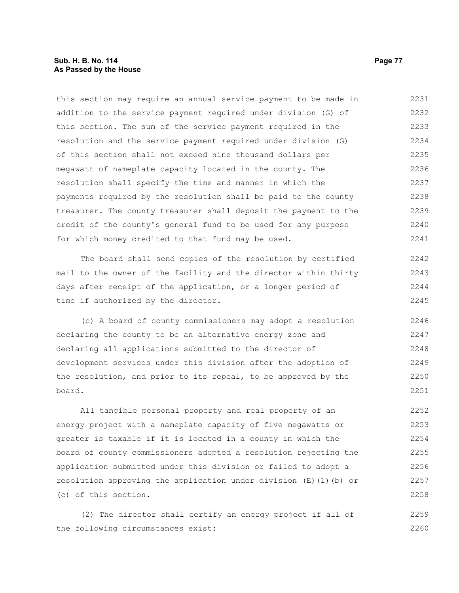## **Sub. H. B. No. 114 Page 77 As Passed by the House**

this section may require an annual service payment to be made in addition to the service payment required under division (G) of this section. The sum of the service payment required in the resolution and the service payment required under division (G) of this section shall not exceed nine thousand dollars per megawatt of nameplate capacity located in the county. The resolution shall specify the time and manner in which the payments required by the resolution shall be paid to the county treasurer. The county treasurer shall deposit the payment to the credit of the county's general fund to be used for any purpose for which money credited to that fund may be used. 2231 2232 2233 2234 2235 2236 2237 2238 2239 2240 2241

The board shall send copies of the resolution by certified mail to the owner of the facility and the director within thirty days after receipt of the application, or a longer period of time if authorized by the director. 2242 2243 2244 2245

(c) A board of county commissioners may adopt a resolution declaring the county to be an alternative energy zone and declaring all applications submitted to the director of development services under this division after the adoption of the resolution, and prior to its repeal, to be approved by the board. 2246 2247 2248 2249 2250 2251

All tangible personal property and real property of an energy project with a nameplate capacity of five megawatts or greater is taxable if it is located in a county in which the board of county commissioners adopted a resolution rejecting the application submitted under this division or failed to adopt a resolution approving the application under division (E)(1)(b) or (c) of this section. 2252 2253 2254 2255 2256 2257 2258

(2) The director shall certify an energy project if all of the following circumstances exist: 2259 2260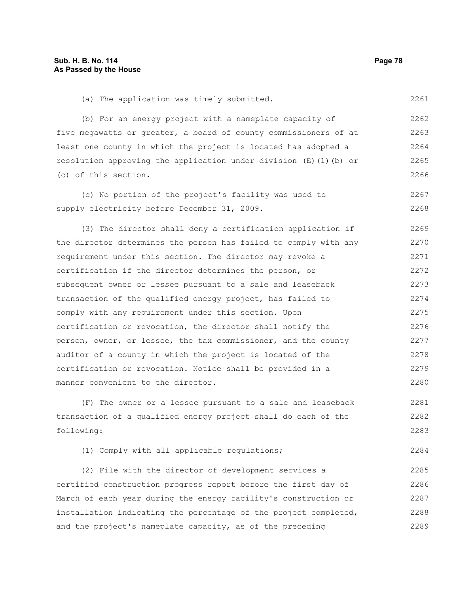supply electricity before December 31, 2009.

2268

(a) The application was timely submitted. (b) For an energy project with a nameplate capacity of five megawatts or greater, a board of county commissioners of at least one county in which the project is located has adopted a resolution approving the application under division (E)(1)(b) or (c) of this section. (c) No portion of the project's facility was used to 2261 2262 2263 2264 2265 2266 2267

(3) The director shall deny a certification application if the director determines the person has failed to comply with any requirement under this section. The director may revoke a certification if the director determines the person, or subsequent owner or lessee pursuant to a sale and leaseback transaction of the qualified energy project, has failed to comply with any requirement under this section. Upon certification or revocation, the director shall notify the person, owner, or lessee, the tax commissioner, and the county auditor of a county in which the project is located of the certification or revocation. Notice shall be provided in a manner convenient to the director. 2269 2270 2271 2272 2273 2274 2275 2276 2277 2278 2279 2280

(F) The owner or a lessee pursuant to a sale and leaseback transaction of a qualified energy project shall do each of the following: 2281 2282 2283

(1) Comply with all applicable regulations; 2284

(2) File with the director of development services a certified construction progress report before the first day of March of each year during the energy facility's construction or installation indicating the percentage of the project completed, and the project's nameplate capacity, as of the preceding 2285 2286 2287 2288 2289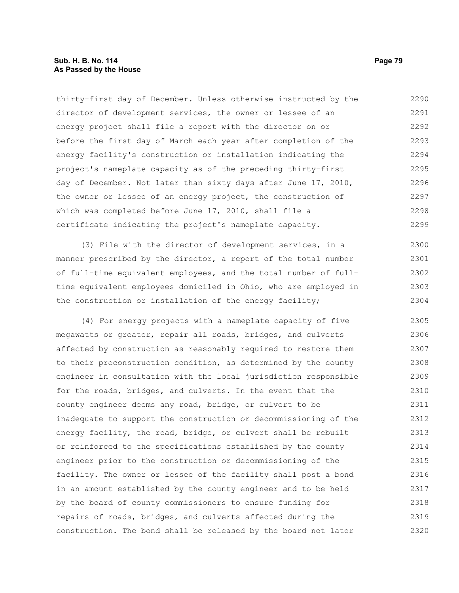## **Sub. H. B. No. 114 Page 79 As Passed by the House**

thirty-first day of December. Unless otherwise instructed by the director of development services, the owner or lessee of an energy project shall file a report with the director on or before the first day of March each year after completion of the energy facility's construction or installation indicating the project's nameplate capacity as of the preceding thirty-first day of December. Not later than sixty days after June 17, 2010, the owner or lessee of an energy project, the construction of which was completed before June 17, 2010, shall file a certificate indicating the project's nameplate capacity. 2290 2291 2292 2293 2294 2295 2296 2297 2298 2299

(3) File with the director of development services, in a manner prescribed by the director, a report of the total number of full-time equivalent employees, and the total number of fulltime equivalent employees domiciled in Ohio, who are employed in the construction or installation of the energy facility; 2300 2301 2302 2303 2304

(4) For energy projects with a nameplate capacity of five megawatts or greater, repair all roads, bridges, and culverts affected by construction as reasonably required to restore them to their preconstruction condition, as determined by the county engineer in consultation with the local jurisdiction responsible for the roads, bridges, and culverts. In the event that the county engineer deems any road, bridge, or culvert to be inadequate to support the construction or decommissioning of the energy facility, the road, bridge, or culvert shall be rebuilt or reinforced to the specifications established by the county engineer prior to the construction or decommissioning of the facility. The owner or lessee of the facility shall post a bond in an amount established by the county engineer and to be held by the board of county commissioners to ensure funding for repairs of roads, bridges, and culverts affected during the construction. The bond shall be released by the board not later 2305 2306 2307 2308 2309 2310 2311 2312 2313 2314 2315 2316 2317 2318 2319 2320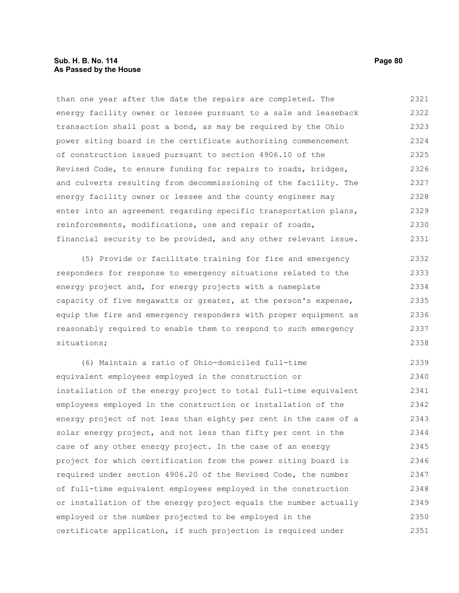than one year after the date the repairs are completed. The energy facility owner or lessee pursuant to a sale and leaseback transaction shall post a bond, as may be required by the Ohio power siting board in the certificate authorizing commencement of construction issued pursuant to section 4906.10 of the Revised Code, to ensure funding for repairs to roads, bridges, and culverts resulting from decommissioning of the facility. The energy facility owner or lessee and the county engineer may enter into an agreement regarding specific transportation plans, reinforcements, modifications, use and repair of roads, financial security to be provided, and any other relevant issue. 2321 2322 2323 2324 2325 2326 2327 2328 2329 2330 2331

(5) Provide or facilitate training for fire and emergency responders for response to emergency situations related to the energy project and, for energy projects with a nameplate capacity of five megawatts or greater, at the person's expense, equip the fire and emergency responders with proper equipment as reasonably required to enable them to respond to such emergency situations; 2332 2333 2334 2335 2336 2337 2338

(6) Maintain a ratio of Ohio-domiciled full-time equivalent employees employed in the construction or installation of the energy project to total full-time equivalent employees employed in the construction or installation of the energy project of not less than eighty per cent in the case of a solar energy project, and not less than fifty per cent in the case of any other energy project. In the case of an energy project for which certification from the power siting board is required under section 4906.20 of the Revised Code, the number of full-time equivalent employees employed in the construction or installation of the energy project equals the number actually employed or the number projected to be employed in the certificate application, if such projection is required under 2339 2340 2341 2342 2343 2344 2345 2346 2347 2348 2349 2350 2351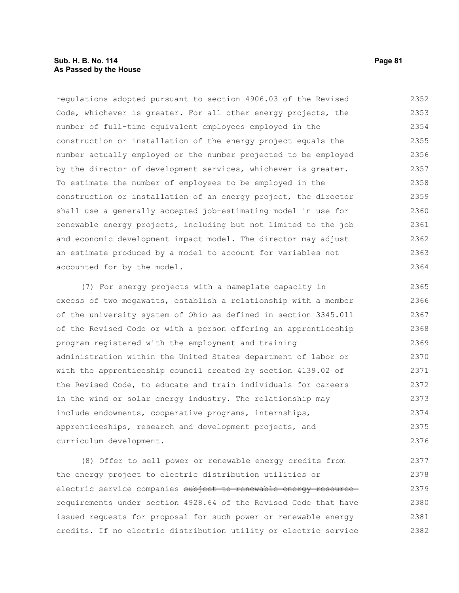# **Sub. H. B. No. 114 Page 81 As Passed by the House**

regulations adopted pursuant to section 4906.03 of the Revised Code, whichever is greater. For all other energy projects, the number of full-time equivalent employees employed in the construction or installation of the energy project equals the number actually employed or the number projected to be employed by the director of development services, whichever is greater. To estimate the number of employees to be employed in the construction or installation of an energy project, the director shall use a generally accepted job-estimating model in use for renewable energy projects, including but not limited to the job and economic development impact model. The director may adjust an estimate produced by a model to account for variables not accounted for by the model. 2352 2353 2354 2355 2356 2357 2358 2359 2360 2361 2362 2363 2364

(7) For energy projects with a nameplate capacity in excess of two megawatts, establish a relationship with a member of the university system of Ohio as defined in section 3345.011 of the Revised Code or with a person offering an apprenticeship program registered with the employment and training administration within the United States department of labor or with the apprenticeship council created by section 4139.02 of the Revised Code, to educate and train individuals for careers in the wind or solar energy industry. The relationship may include endowments, cooperative programs, internships, apprenticeships, research and development projects, and curriculum development. 2365 2366 2367 2368 2369 2370 2371 2372 2373 2374 2375 2376

(8) Offer to sell power or renewable energy credits from the energy project to electric distribution utilities or electric service companies subject to renewable energy resourcerequirements under section 4928.64 of the Revised Code that have issued requests for proposal for such power or renewable energy credits. If no electric distribution utility or electric service 2377 2378 2379 2380 2381 2382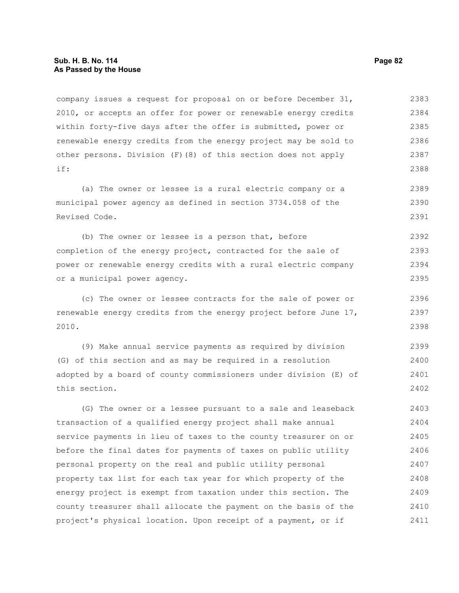company issues a request for proposal on or before December 31, 2010, or accepts an offer for power or renewable energy credits within forty-five days after the offer is submitted, power or renewable energy credits from the energy project may be sold to other persons. Division (F)(8) of this section does not apply if: 2383 2384 2385 2386 2387 2388

(a) The owner or lessee is a rural electric company or a municipal power agency as defined in section 3734.058 of the Revised Code. 2389 2390 2391

(b) The owner or lessee is a person that, before completion of the energy project, contracted for the sale of power or renewable energy credits with a rural electric company or a municipal power agency. 2392 2393 2394 2395

(c) The owner or lessee contracts for the sale of power or renewable energy credits from the energy project before June 17, 2010. 2396 2397 2398

(9) Make annual service payments as required by division (G) of this section and as may be required in a resolution adopted by a board of county commissioners under division (E) of this section. 2399 2400 2401 2402

(G) The owner or a lessee pursuant to a sale and leaseback transaction of a qualified energy project shall make annual service payments in lieu of taxes to the county treasurer on or before the final dates for payments of taxes on public utility personal property on the real and public utility personal property tax list for each tax year for which property of the energy project is exempt from taxation under this section. The county treasurer shall allocate the payment on the basis of the project's physical location. Upon receipt of a payment, or if 2403 2404 2405 2406 2407 2408 2409 2410 2411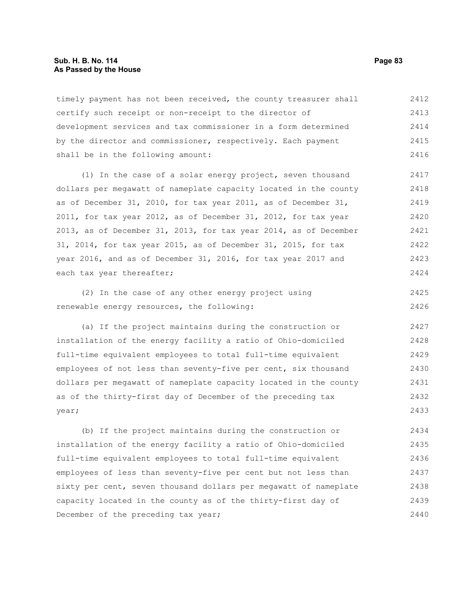#### **Sub. H. B. No. 114 Page 83 As Passed by the House**

timely payment has not been received, the county treasurer shall certify such receipt or non-receipt to the director of development services and tax commissioner in a form determined by the director and commissioner, respectively. Each payment shall be in the following amount: 2412 2413 2414 2415 2416

(1) In the case of a solar energy project, seven thousand dollars per megawatt of nameplate capacity located in the county as of December 31, 2010, for tax year 2011, as of December 31, 2011, for tax year 2012, as of December 31, 2012, for tax year 2013, as of December 31, 2013, for tax year 2014, as of December 31, 2014, for tax year 2015, as of December 31, 2015, for tax year 2016, and as of December 31, 2016, for tax year 2017 and each tax year thereafter; 2417 2418 2419 2420 2421 2422 2423 2424

(2) In the case of any other energy project using renewable energy resources, the following: 2425 2426

(a) If the project maintains during the construction or installation of the energy facility a ratio of Ohio-domiciled full-time equivalent employees to total full-time equivalent employees of not less than seventy-five per cent, six thousand dollars per megawatt of nameplate capacity located in the county as of the thirty-first day of December of the preceding tax year; 2427 2428 2429 2430 2431 2432 2433

(b) If the project maintains during the construction or installation of the energy facility a ratio of Ohio-domiciled full-time equivalent employees to total full-time equivalent employees of less than seventy-five per cent but not less than sixty per cent, seven thousand dollars per megawatt of nameplate capacity located in the county as of the thirty-first day of December of the preceding tax year; 2434 2435 2436 2437 2438 2439 2440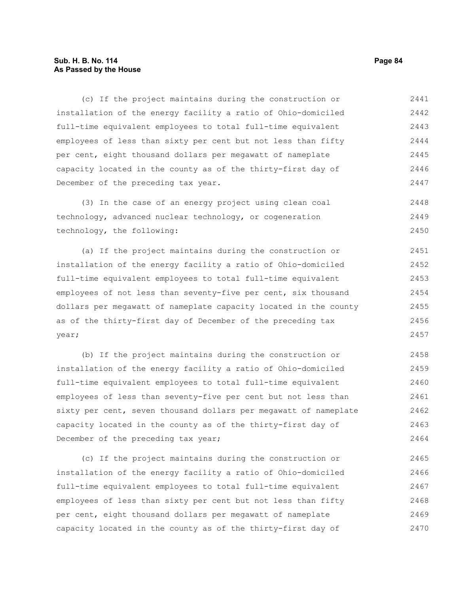# **Sub. H. B. No. 114 Page 84 As Passed by the House**

(c) If the project maintains during the construction or installation of the energy facility a ratio of Ohio-domiciled full-time equivalent employees to total full-time equivalent employees of less than sixty per cent but not less than fifty per cent, eight thousand dollars per megawatt of nameplate capacity located in the county as of the thirty-first day of December of the preceding tax year. 2441 2442 2443 2444 2445 2446 2447

(3) In the case of an energy project using clean coal technology, advanced nuclear technology, or cogeneration technology, the following: 2448 2449 2450

(a) If the project maintains during the construction or installation of the energy facility a ratio of Ohio-domiciled full-time equivalent employees to total full-time equivalent employees of not less than seventy-five per cent, six thousand dollars per megawatt of nameplate capacity located in the county as of the thirty-first day of December of the preceding tax year; 2451 2452 2453 2454 2455 2456 2457

(b) If the project maintains during the construction or installation of the energy facility a ratio of Ohio-domiciled full-time equivalent employees to total full-time equivalent employees of less than seventy-five per cent but not less than sixty per cent, seven thousand dollars per megawatt of nameplate capacity located in the county as of the thirty-first day of December of the preceding tax year; 2458 2459 2460 2461 2462 2463 2464

(c) If the project maintains during the construction or installation of the energy facility a ratio of Ohio-domiciled full-time equivalent employees to total full-time equivalent employees of less than sixty per cent but not less than fifty per cent, eight thousand dollars per megawatt of nameplate capacity located in the county as of the thirty-first day of 2465 2466 2467 2468 2469 2470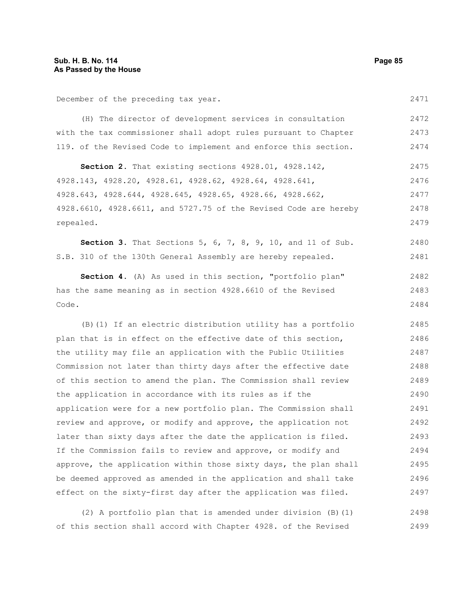December of the preceding tax year.

(H) The director of development services in consultation with the tax commissioner shall adopt rules pursuant to Chapter 119. of the Revised Code to implement and enforce this section. 2472 2473 2474

**Section 2.** That existing sections 4928.01, 4928.142, 4928.143, 4928.20, 4928.61, 4928.62, 4928.64, 4928.641, 4928.643, 4928.644, 4928.645, 4928.65, 4928.66, 4928.662, 4928.6610, 4928.6611, and 5727.75 of the Revised Code are hereby repealed. 2475 2476 2477 2478 2479

**Section 3.** That Sections 5, 6, 7, 8, 9, 10, and 11 of Sub. S.B. 310 of the 130th General Assembly are hereby repealed. 2480 2481

**Section 4.** (A) As used in this section, "portfolio plan" has the same meaning as in section 4928.6610 of the Revised Code. 2482 2483 2484

(B)(1) If an electric distribution utility has a portfolio plan that is in effect on the effective date of this section, the utility may file an application with the Public Utilities Commission not later than thirty days after the effective date of this section to amend the plan. The Commission shall review the application in accordance with its rules as if the application were for a new portfolio plan. The Commission shall review and approve, or modify and approve, the application not later than sixty days after the date the application is filed. If the Commission fails to review and approve, or modify and approve, the application within those sixty days, the plan shall be deemed approved as amended in the application and shall take effect on the sixty-first day after the application was filed. 2485 2486 2487 2488 2489 2490 2491 2492 2493 2494 2495 2496 2497

(2) A portfolio plan that is amended under division (B)(1) of this section shall accord with Chapter 4928. of the Revised 2498 2499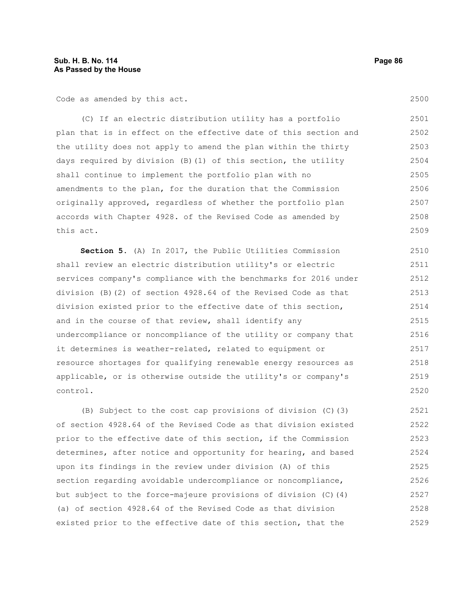Code as amended by this act.

(C) If an electric distribution utility has a portfolio plan that is in effect on the effective date of this section and the utility does not apply to amend the plan within the thirty days required by division (B)(1) of this section, the utility shall continue to implement the portfolio plan with no amendments to the plan, for the duration that the Commission originally approved, regardless of whether the portfolio plan accords with Chapter 4928. of the Revised Code as amended by this act. 2501 2502 2503 2504 2505 2506 2507 2508 2509

**Section 5.** (A) In 2017, the Public Utilities Commission shall review an electric distribution utility's or electric services company's compliance with the benchmarks for 2016 under division (B)(2) of section 4928.64 of the Revised Code as that division existed prior to the effective date of this section, and in the course of that review, shall identify any undercompliance or noncompliance of the utility or company that it determines is weather-related, related to equipment or resource shortages for qualifying renewable energy resources as applicable, or is otherwise outside the utility's or company's control. 2510 2511 2512 2513 2514 2515 2516 2517 2518 2519 2520

(B) Subject to the cost cap provisions of division (C)(3) of section 4928.64 of the Revised Code as that division existed prior to the effective date of this section, if the Commission determines, after notice and opportunity for hearing, and based upon its findings in the review under division (A) of this section regarding avoidable undercompliance or noncompliance, but subject to the force-majeure provisions of division (C)(4) (a) of section 4928.64 of the Revised Code as that division existed prior to the effective date of this section, that the 2521 2522 2523 2524 2525 2526 2527 2528 2529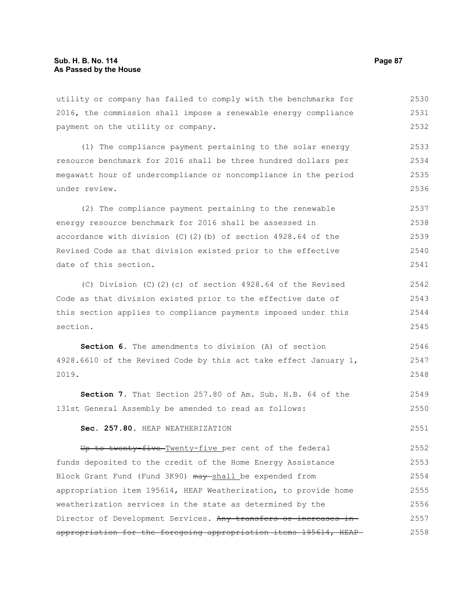utility or company has failed to comply with the benchmarks for 2016, the commission shall impose a renewable energy compliance payment on the utility or company. 2530 2531 2532

(1) The compliance payment pertaining to the solar energy resource benchmark for 2016 shall be three hundred dollars per megawatt hour of undercompliance or noncompliance in the period under review. 2533 2534 2535 2536

(2) The compliance payment pertaining to the renewable energy resource benchmark for 2016 shall be assessed in accordance with division (C)(2)(b) of section 4928.64 of the Revised Code as that division existed prior to the effective date of this section. 2537 2538 2539 2540 2541

(C) Division (C)(2)(c) of section 4928.64 of the Revised Code as that division existed prior to the effective date of this section applies to compliance payments imposed under this section. 2542 2543 2544 2545

**Section 6.** The amendments to division (A) of section 4928.6610 of the Revised Code by this act take effect January 1, 2019. 2546 2547 2548

**Section 7.** That Section 257.80 of Am. Sub. H.B. 64 of the 131st General Assembly be amended to read as follows: 2549 2550

#### **Sec. 257.80.** HEAP WEATHERIZATION

Up to twenty-five Twenty-five per cent of the federal funds deposited to the credit of the Home Energy Assistance Block Grant Fund (Fund 3K90) may shall be expended from appropriation item 195614, HEAP Weatherization, to provide home weatherization services in the state as determined by the Director of Development Services. Any transfers or increases inappropriation for the foregoing appropriation items 195614, HEAP 2552 2553 2554 2555 2556 2557 2558